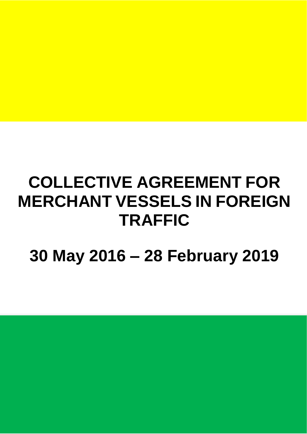# **COLLECTIVE AGREEMENT FOR MERCHANT VESSELS IN FOREIGN TRAFFIC**

**30 May 2016 – 28 February 2019**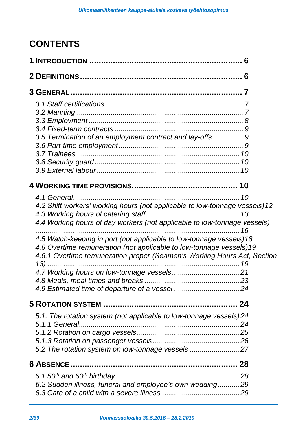# **CONTENTS**

| 3.5 Termination of an employment contract and lay-offs 9                    |  |
|-----------------------------------------------------------------------------|--|
|                                                                             |  |
|                                                                             |  |
|                                                                             |  |
|                                                                             |  |
|                                                                             |  |
|                                                                             |  |
| 4.2 Shift workers' working hours (not applicable to low-tonnage vessels) 12 |  |
|                                                                             |  |
| 4.4 Working hours of day workers (not applicable to low-tonnage vessels)    |  |
|                                                                             |  |
| 4.5 Watch-keeping in port (not applicable to low-tonnage vessels)18         |  |
| 4.6 Overtime remuneration (not applicable to low-tonnage vessels)19         |  |
| 4.6.1 Overtime remuneration proper (Seamen's Working Hours Act, Section     |  |
|                                                                             |  |
|                                                                             |  |
|                                                                             |  |
|                                                                             |  |
|                                                                             |  |
| 5.1. The rotation system (not applicable to low-tonnage vessels) 24         |  |
|                                                                             |  |
|                                                                             |  |
|                                                                             |  |
| 5.2 The rotation system on low-tonnage vessels 27                           |  |
|                                                                             |  |
|                                                                             |  |
| 6.2 Sudden illness, funeral and employee's own wedding29                    |  |
|                                                                             |  |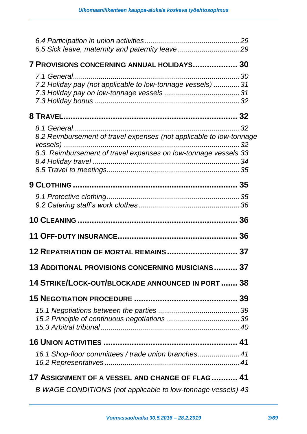| 7 PROVISIONS CONCERNING ANNUAL HOLIDAYS 30                                                                                             |  |
|----------------------------------------------------------------------------------------------------------------------------------------|--|
| 7.1 General<br>7.2 Holiday pay (not applicable to low-tonnage vessels)  31                                                             |  |
|                                                                                                                                        |  |
| 8.2 Reimbursement of travel expenses (not applicable to low-tonnage<br>8.3. Reimbursement of travel expenses on low-tonnage vessels 33 |  |
|                                                                                                                                        |  |
|                                                                                                                                        |  |
|                                                                                                                                        |  |
|                                                                                                                                        |  |
| 12 REPATRIATION OF MORTAL REMAINS 37                                                                                                   |  |
| 13 ADDITIONAL PROVISIONS CONCERNING MUSICIANS 37                                                                                       |  |
| 14 STRIKE/LOCK-OUT/BLOCKADE ANNOUNCED IN PORT  38                                                                                      |  |
|                                                                                                                                        |  |
|                                                                                                                                        |  |
|                                                                                                                                        |  |
| 16.1 Shop-floor committees / trade union branches 41                                                                                   |  |
| <b>17 ASSIGNMENT OF A VESSEL AND CHANGE OF FLAG  41</b>                                                                                |  |
| B WAGE CONDITIONS (not applicable to low-tonnage vessels) 43                                                                           |  |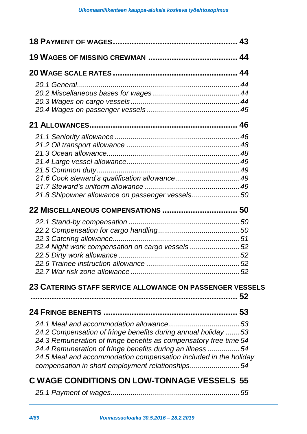| 21.8 Shipowner allowance on passenger vessels 50                  |  |
|-------------------------------------------------------------------|--|
|                                                                   |  |
|                                                                   |  |
|                                                                   |  |
|                                                                   |  |
| 22.4 Night work compensation on cargo vessels 52                  |  |
|                                                                   |  |
|                                                                   |  |
|                                                                   |  |
| 23 CATERING STAFF SERVICE ALLOWANCE ON PASSENGER VESSELS          |  |
|                                                                   |  |
|                                                                   |  |
|                                                                   |  |
| 24.2 Compensation of fringe benefits during annual holiday  53    |  |
| 24.3 Remuneration of fringe benefits as compensatory free time 54 |  |
| 24.4 Remuneration of fringe benefits during an illness 54         |  |
| 24.5 Meal and accommodation compensation included in the holiday  |  |
| compensation in short employment relationships54                  |  |
| <b>C WAGE CONDITIONS ON LOW-TONNAGE VESSELS 55</b>                |  |
|                                                                   |  |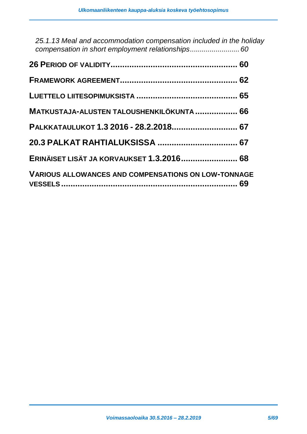| 25.1.13 Meal and accommodation compensation included in the holiday |  |
|---------------------------------------------------------------------|--|
|                                                                     |  |
|                                                                     |  |
|                                                                     |  |
| MATKUSTAJA-ALUSTEN TALOUSHENKILÖKUNTA  66                           |  |
| PALKKATAULUKOT 1.3 2016 - 28.2.2018 67                              |  |
|                                                                     |  |
| ERINÄISET LISÄT JA KORVAUKSET 1.3.2016 68                           |  |
| <b>VARIOUS ALLOWANCES AND COMPENSATIONS ON LOW-TONNAGE</b>          |  |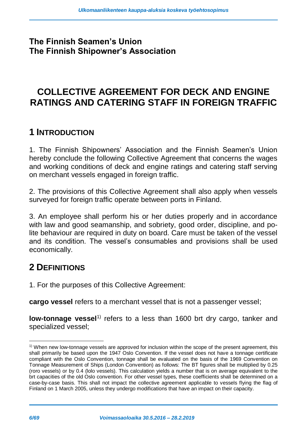### **The Finnish Seamen's Union The Finnish Shipowner's Association**

# **COLLECTIVE AGREEMENT FOR DECK AND ENGINE RATINGS AND CATERING STAFF IN FOREIGN TRAFFIC**

### <span id="page-5-0"></span>**1 INTRODUCTION**

1. The Finnish Shipowners' Association and the Finnish Seamen's Union hereby conclude the following Collective Agreement that concerns the wages and working conditions of deck and engine ratings and catering staff serving on merchant vessels engaged in foreign traffic.

2. The provisions of this Collective Agreement shall also apply when vessels surveyed for foreign traffic operate between ports in Finland.

3. An employee shall perform his or her duties properly and in accordance with law and good seamanship, and sobriety, good order, discipline, and polite behaviour are required in duty on board. Care must be taken of the vessel and its condition. The vessel's consumables and provisions shall be used economically.

### <span id="page-5-1"></span>**2 DEFINITIONS**

1. For the purposes of this Collective Agreement:

**cargo vessel** refers to a merchant vessel that is not a passenger vessel;

low-tonnage vessel<sup>1)</sup> refers to a less than 1600 brt dry cargo, tanker and specialized vessel;

-

<sup>&</sup>lt;sup>1)</sup> When new low-tonnage vessels are approved for inclusion within the scope of the present agreement, this shall primarily be based upon the 1947 Oslo Convention. If the vessel does not have a tonnage certificate compliant with the Oslo Convention, tonnage shall be evaluated on the basis of the 1969 Convention on Tonnage Measurement of Ships (London Convention) as follows: The BT figures shall be multiplied by 0.25 (roro vessels) or by 0.4 (lolo vessels). This calculation yields a number that is on average equivalent to the brt capacities of the old Oslo convention. For other vessel types, these coefficients shall be determined on a case-by-case basis. This shall not impact the collective agreement applicable to vessels flying the flag of Finland on 1 March 2005, unless they undergo modifications that have an impact on their capacity.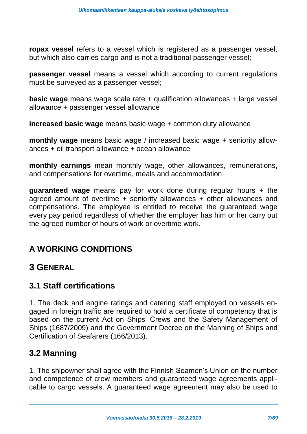**ropax vessel** refers to a vessel which is registered as a passenger vessel, but which also carries cargo and is not a traditional passenger vessel;

**passenger vessel** means a vessel which according to current regulations must be surveyed as a passenger vessel;

**basic wage** means wage scale rate + qualification allowances + large vessel allowance + passenger vessel allowance

**increased basic wage** means basic wage + common duty allowance

**monthly wage** means basic wage / increased basic wage + seniority allowances + oil transport allowance + ocean allowance

**monthly earnings** mean monthly wage, other allowances, remunerations, and compensations for overtime, meals and accommodation

**guaranteed wage** means pay for work done during regular hours + the agreed amount of overtime + seniority allowances + other allowances and compensations. The employee is entitled to receive the guaranteed wage every pay period regardless of whether the employer has him or her carry out the agreed number of hours of work or overtime work.

### **A WORKING CONDITIONS**

### <span id="page-6-0"></span>**3 GENERAL**

### <span id="page-6-1"></span>**3.1 Staff certifications**

1. The deck and engine ratings and catering staff employed on vessels engaged in foreign traffic are required to hold a certificate of competency that is based on the current Act on Ships' Crews and the Safety Management of Ships (1687/2009) and the Government Decree on the Manning of Ships and Certification of Seafarers (166/2013).

### <span id="page-6-2"></span>**3.2 Manning**

1. The shipowner shall agree with the Finnish Seamen's Union on the number and competence of crew members and guaranteed wage agreements applicable to cargo vessels. A guaranteed wage agreement may also be used to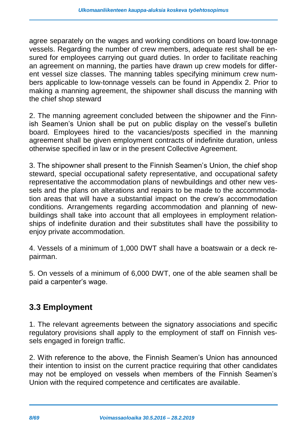agree separately on the wages and working conditions on board low-tonnage vessels. Regarding the number of crew members, adequate rest shall be ensured for employees carrying out guard duties. In order to facilitate reaching an agreement on manning, the parties have drawn up crew models for different vessel size classes. The manning tables specifying minimum crew numbers applicable to low-tonnage vessels can be found in Appendix 2. Prior to making a manning agreement, the shipowner shall discuss the manning with the chief shop steward

2. The manning agreement concluded between the shipowner and the Finnish Seamen's Union shall be put on public display on the vessel's bulletin board. Employees hired to the vacancies/posts specified in the manning agreement shall be given employment contracts of indefinite duration, unless otherwise specified in law or in the present Collective Agreement.

3. The shipowner shall present to the Finnish Seamen's Union, the chief shop steward, special occupational safety representative, and occupational safety representative the accommodation plans of newbuildings and other new vessels and the plans on alterations and repairs to be made to the accommodation areas that will have a substantial impact on the crew's accommodation conditions. Arrangements regarding accommodation and planning of newbuildings shall take into account that all employees in employment relationships of indefinite duration and their substitutes shall have the possibility to enjoy private accommodation.

4. Vessels of a minimum of 1,000 DWT shall have a boatswain or a deck repairman.

5. On vessels of a minimum of 6,000 DWT, one of the able seamen shall be paid a carpenter's wage.

### <span id="page-7-0"></span>**3.3 Employment**

1. The relevant agreements between the signatory associations and specific regulatory provisions shall apply to the employment of staff on Finnish vessels engaged in foreign traffic.

2. With reference to the above, the Finnish Seamen's Union has announced their intention to insist on the current practice requiring that other candidates may not be employed on vessels when members of the Finnish Seamen's Union with the required competence and certificates are available.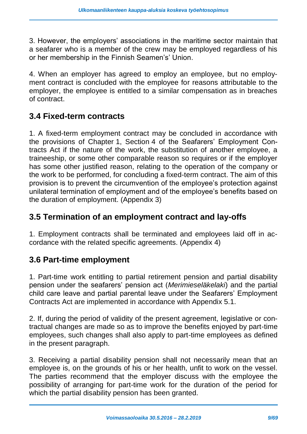3. However, the employers' associations in the maritime sector maintain that a seafarer who is a member of the crew may be employed regardless of his or her membership in the Finnish Seamen's' Union.

4. When an employer has agreed to employ an employee, but no employment contract is concluded with the employee for reasons attributable to the employer, the employee is entitled to a similar compensation as in breaches of contract.

### <span id="page-8-0"></span>**3.4 Fixed-term contracts**

1. A fixed-term employment contract may be concluded in accordance with the provisions of Chapter 1, Section 4 of the Seafarers' Employment Contracts Act if the nature of the work, the substitution of another employee, a traineeship, or some other comparable reason so requires or if the employer has some other justified reason, relating to the operation of the company or the work to be performed, for concluding a fixed-term contract. The aim of this provision is to prevent the circumvention of the employee's protection against unilateral termination of employment and of the employee's benefits based on the duration of employment. (Appendix 3)

### <span id="page-8-1"></span>**3.5 Termination of an employment contract and lay-offs**

1. Employment contracts shall be terminated and employees laid off in accordance with the related specific agreements. (Appendix 4)

### <span id="page-8-2"></span>**3.6 Part-time employment**

1. Part-time work entitling to partial retirement pension and partial disability pension under the seafarers' pension act (*Merimieseläkelaki*) and the partial child care leave and partial parental leave under the Seafarers' Employment Contracts Act are implemented in accordance with Appendix 5.1.

2. If, during the period of validity of the present agreement, legislative or contractual changes are made so as to improve the benefits enjoyed by part-time employees, such changes shall also apply to part-time employees as defined in the present paragraph.

3. Receiving a partial disability pension shall not necessarily mean that an employee is, on the grounds of his or her health, unfit to work on the vessel. The parties recommend that the employer discuss with the employee the possibility of arranging for part-time work for the duration of the period for which the partial disability pension has been granted.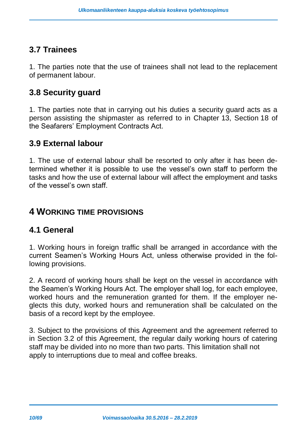### <span id="page-9-0"></span>**3.7 Trainees**

1. The parties note that the use of trainees shall not lead to the replacement of permanent labour.

### <span id="page-9-1"></span>**3.8 Security guard**

1. The parties note that in carrying out his duties a security guard acts as a person assisting the shipmaster as referred to in Chapter 13, Section 18 of the Seafarers' Employment Contracts Act.

### <span id="page-9-2"></span>**3.9 External labour**

1. The use of external labour shall be resorted to only after it has been determined whether it is possible to use the vessel's own staff to perform the tasks and how the use of external labour will affect the employment and tasks of the vessel's own staff.

### <span id="page-9-3"></span>**4 WORKING TIME PROVISIONS**

#### <span id="page-9-4"></span>**4.1 General**

1. Working hours in foreign traffic shall be arranged in accordance with the current Seamen's Working Hours Act, unless otherwise provided in the following provisions.

2. A record of working hours shall be kept on the vessel in accordance with the Seamen's Working Hours Act. The employer shall log, for each employee, worked hours and the remuneration granted for them. If the employer neglects this duty, worked hours and remuneration shall be calculated on the basis of a record kept by the employee.

3. Subject to the provisions of this Agreement and the agreement referred to in Section 3.2 of this Agreement, the regular daily working hours of catering staff may be divided into no more than two parts. This limitation shall not apply to interruptions due to meal and coffee breaks.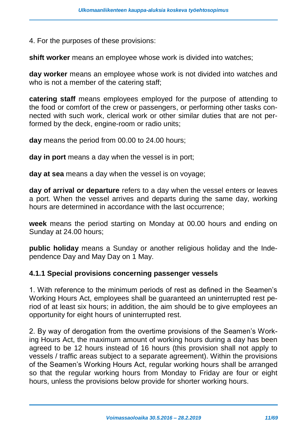4. For the purposes of these provisions:

**shift worker** means an employee whose work is divided into watches;

**day worker** means an employee whose work is not divided into watches and who is not a member of the catering staff;

**catering staff** means employees employed for the purpose of attending to the food or comfort of the crew or passengers, or performing other tasks connected with such work, clerical work or other similar duties that are not performed by the deck, engine-room or radio units;

**day** means the period from 00.00 to 24.00 hours;

**day in port** means a day when the vessel is in port;

**day at sea** means a day when the vessel is on voyage;

**day of arrival or departure** refers to a day when the vessel enters or leaves a port. When the vessel arrives and departs during the same day, working hours are determined in accordance with the last occurrence;

**week** means the period starting on Monday at 00.00 hours and ending on Sunday at 24.00 hours;

**public holiday** means a Sunday or another religious holiday and the Independence Day and May Day on 1 May.

#### **4.1.1 Special provisions concerning passenger vessels**

1. With reference to the minimum periods of rest as defined in the Seamen's Working Hours Act, employees shall be guaranteed an uninterrupted rest period of at least six hours; in addition, the aim should be to give employees an opportunity for eight hours of uninterrupted rest.

2. By way of derogation from the overtime provisions of the Seamen's Working Hours Act, the maximum amount of working hours during a day has been agreed to be 12 hours instead of 16 hours (this provision shall not apply to vessels / traffic areas subject to a separate agreement). Within the provisions of the Seamen's Working Hours Act, regular working hours shall be arranged so that the regular working hours from Monday to Friday are four or eight hours, unless the provisions below provide for shorter working hours.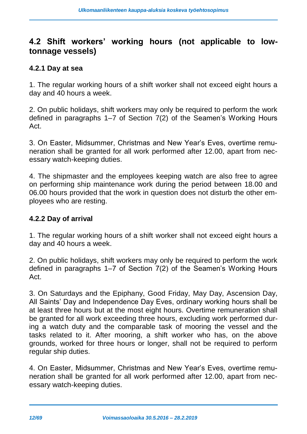### <span id="page-11-0"></span>**4.2 Shift workers' working hours (not applicable to lowtonnage vessels)**

#### **4.2.1 Day at sea**

1. The regular working hours of a shift worker shall not exceed eight hours a day and 40 hours a week.

2. On public holidays, shift workers may only be required to perform the work defined in paragraphs 1–7 of Section 7(2) of the Seamen's Working Hours Act.

3. On Easter, Midsummer, Christmas and New Year's Eves, overtime remuneration shall be granted for all work performed after 12.00, apart from necessary watch-keeping duties.

4. The shipmaster and the employees keeping watch are also free to agree on performing ship maintenance work during the period between 18.00 and 06.00 hours provided that the work in question does not disturb the other employees who are resting.

#### **4.2.2 Day of arrival**

1. The regular working hours of a shift worker shall not exceed eight hours a day and 40 hours a week.

2. On public holidays, shift workers may only be required to perform the work defined in paragraphs 1–7 of Section 7(2) of the Seamen's Working Hours Act.

3. On Saturdays and the Epiphany, Good Friday, May Day, Ascension Day, All Saints' Day and Independence Day Eves, ordinary working hours shall be at least three hours but at the most eight hours. Overtime remuneration shall be granted for all work exceeding three hours, excluding work performed during a watch duty and the comparable task of mooring the vessel and the tasks related to it. After mooring, a shift worker who has, on the above grounds, worked for three hours or longer, shall not be required to perform regular ship duties.

4. On Easter, Midsummer, Christmas and New Year's Eves, overtime remuneration shall be granted for all work performed after 12.00, apart from necessary watch-keeping duties.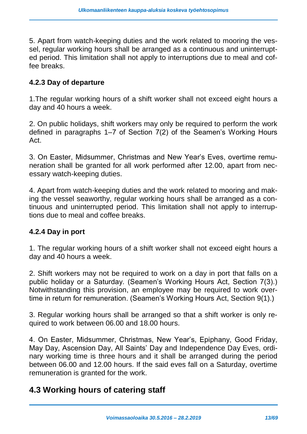5. Apart from watch-keeping duties and the work related to mooring the vessel, regular working hours shall be arranged as a continuous and uninterrupted period. This limitation shall not apply to interruptions due to meal and coffee breaks.

#### **4.2.3 Day of departure**

1.The regular working hours of a shift worker shall not exceed eight hours a day and 40 hours a week.

2. On public holidays, shift workers may only be required to perform the work defined in paragraphs 1–7 of Section 7(2) of the Seamen's Working Hours Act.

3. On Easter, Midsummer, Christmas and New Year's Eves, overtime remuneration shall be granted for all work performed after 12.00, apart from necessary watch-keeping duties.

4. Apart from watch-keeping duties and the work related to mooring and making the vessel seaworthy, regular working hours shall be arranged as a continuous and uninterrupted period. This limitation shall not apply to interruptions due to meal and coffee breaks.

#### **4.2.4 Day in port**

1. The regular working hours of a shift worker shall not exceed eight hours a day and 40 hours a week.

2. Shift workers may not be required to work on a day in port that falls on a public holiday or a Saturday. (Seamen's Working Hours Act, Section 7(3).) Notwithstanding this provision, an employee may be required to work overtime in return for remuneration. (Seamen's Working Hours Act, Section 9(1).)

3. Regular working hours shall be arranged so that a shift worker is only required to work between 06.00 and 18.00 hours.

4. On Easter, Midsummer, Christmas, New Year's, Epiphany, Good Friday, May Day, Ascension Day, All Saints' Day and Independence Day Eves, ordinary working time is three hours and it shall be arranged during the period between 06.00 and 12.00 hours. If the said eves fall on a Saturday, overtime remuneration is granted for the work.

### <span id="page-12-0"></span>**4.3 Working hours of catering staff**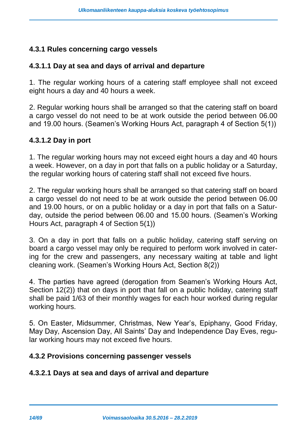#### **4.3.1 Rules concerning cargo vessels**

#### **4.3.1.1 Day at sea and days of arrival and departure**

1. The regular working hours of a catering staff employee shall not exceed eight hours a day and 40 hours a week.

2. Regular working hours shall be arranged so that the catering staff on board a cargo vessel do not need to be at work outside the period between 06.00 and 19.00 hours. (Seamen's Working Hours Act, paragraph 4 of Section 5(1))

#### **4.3.1.2 Day in port**

1. The regular working hours may not exceed eight hours a day and 40 hours a week. However, on a day in port that falls on a public holiday or a Saturday, the regular working hours of catering staff shall not exceed five hours.

2. The regular working hours shall be arranged so that catering staff on board a cargo vessel do not need to be at work outside the period between 06.00 and 19.00 hours, or on a public holiday or a day in port that falls on a Saturday, outside the period between 06.00 and 15.00 hours. (Seamen's Working Hours Act, paragraph 4 of Section 5(1))

3. On a day in port that falls on a public holiday, catering staff serving on board a cargo vessel may only be required to perform work involved in catering for the crew and passengers, any necessary waiting at table and light cleaning work. (Seamen's Working Hours Act, Section 8(2))

4. The parties have agreed (derogation from Seamen's Working Hours Act, Section 12(2)) that on days in port that fall on a public holiday, catering staff shall be paid 1/63 of their monthly wages for each hour worked during regular working hours.

5. On Easter, Midsummer, Christmas, New Year's, Epiphany, Good Friday, May Day, Ascension Day, All Saints' Day and Independence Day Eves, regular working hours may not exceed five hours.

#### **4.3.2 Provisions concerning passenger vessels**

#### **4.3.2.1 Days at sea and days of arrival and departure**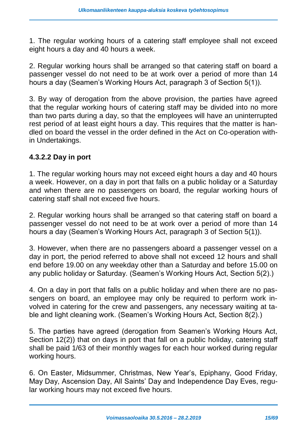1. The regular working hours of a catering staff employee shall not exceed eight hours a day and 40 hours a week.

2. Regular working hours shall be arranged so that catering staff on board a passenger vessel do not need to be at work over a period of more than 14 hours a day (Seamen's Working Hours Act, paragraph 3 of Section 5(1)).

3. By way of derogation from the above provision, the parties have agreed that the regular working hours of catering staff may be divided into no more than two parts during a day, so that the employees will have an uninterrupted rest period of at least eight hours a day. This requires that the matter is handled on board the vessel in the order defined in the Act on Co-operation within Undertakings.

#### **4.3.2.2 Day in port**

1. The regular working hours may not exceed eight hours a day and 40 hours a week. However, on a day in port that falls on a public holiday or a Saturday and when there are no passengers on board, the regular working hours of catering staff shall not exceed five hours.

2. Regular working hours shall be arranged so that catering staff on board a passenger vessel do not need to be at work over a period of more than 14 hours a day (Seamen's Working Hours Act, paragraph 3 of Section 5(1)).

3. However, when there are no passengers aboard a passenger vessel on a day in port, the period referred to above shall not exceed 12 hours and shall end before 19.00 on any weekday other than a Saturday and before 15.00 on any public holiday or Saturday. (Seamen's Working Hours Act, Section 5(2).)

4. On a day in port that falls on a public holiday and when there are no passengers on board, an employee may only be required to perform work involved in catering for the crew and passengers, any necessary waiting at table and light cleaning work. (Seamen's Working Hours Act, Section 8(2).)

5. The parties have agreed (derogation from Seamen's Working Hours Act, Section 12(2)) that on days in port that fall on a public holiday, catering staff shall be paid 1/63 of their monthly wages for each hour worked during regular working hours.

6. On Easter, Midsummer, Christmas, New Year's, Epiphany, Good Friday, May Day, Ascension Day, All Saints' Day and Independence Day Eves, regular working hours may not exceed five hours.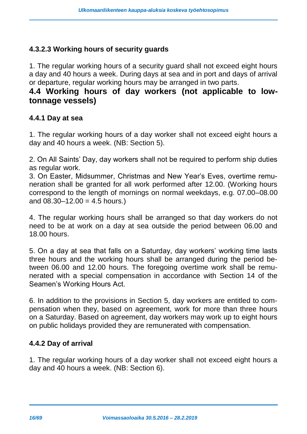#### **4.3.2.3 Working hours of security guards**

1. The regular working hours of a security guard shall not exceed eight hours a day and 40 hours a week. During days at sea and in port and days of arrival or departure, regular working hours may be arranged in two parts.

### <span id="page-15-0"></span>**4.4 Working hours of day workers (not applicable to lowtonnage vessels)**

#### **4.4.1 Day at sea**

1. The regular working hours of a day worker shall not exceed eight hours a day and 40 hours a week. (NB: Section 5).

2. On All Saints' Day, day workers shall not be required to perform ship duties as regular work.

3. On Easter, Midsummer, Christmas and New Year's Eves, overtime remuneration shall be granted for all work performed after 12.00. (Working hours correspond to the length of mornings on normal weekdays, e.g. 07.00–08.00 and  $08.30 - 12.00 = 4.5$  hours.)

4. The regular working hours shall be arranged so that day workers do not need to be at work on a day at sea outside the period between 06.00 and 18.00 hours.

5. On a day at sea that falls on a Saturday, day workers' working time lasts three hours and the working hours shall be arranged during the period between 06.00 and 12.00 hours. The foregoing overtime work shall be remunerated with a special compensation in accordance with Section 14 of the Seamen's Working Hours Act.

6. In addition to the provisions in Section 5, day workers are entitled to compensation when they, based on agreement, work for more than three hours on a Saturday. Based on agreement, day workers may work up to eight hours on public holidays provided they are remunerated with compensation.

#### **4.4.2 Day of arrival**

1. The regular working hours of a day worker shall not exceed eight hours a day and 40 hours a week. (NB: Section 6).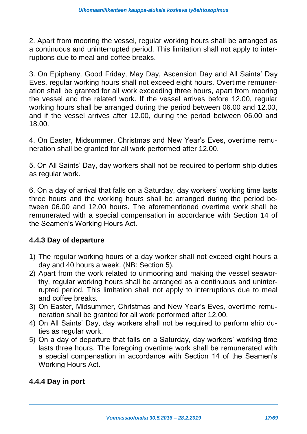2. Apart from mooring the vessel, regular working hours shall be arranged as a continuous and uninterrupted period. This limitation shall not apply to interruptions due to meal and coffee breaks.

3. On Epiphany, Good Friday, May Day, Ascension Day and All Saints' Day Eves, regular working hours shall not exceed eight hours. Overtime remuneration shall be granted for all work exceeding three hours, apart from mooring the vessel and the related work. If the vessel arrives before 12.00, regular working hours shall be arranged during the period between 06.00 and 12.00, and if the vessel arrives after 12.00, during the period between 06.00 and 18.00.

4. On Easter, Midsummer, Christmas and New Year's Eves, overtime remuneration shall be granted for all work performed after 12.00.

5. On All Saints' Day, day workers shall not be required to perform ship duties as regular work.

6. On a day of arrival that falls on a Saturday, day workers' working time lasts three hours and the working hours shall be arranged during the period between 06.00 and 12.00 hours. The aforementioned overtime work shall be remunerated with a special compensation in accordance with Section 14 of the Seamen's Working Hours Act.

#### **4.4.3 Day of departure**

- 1) The regular working hours of a day worker shall not exceed eight hours a day and 40 hours a week. (NB: Section 5).
- 2) Apart from the work related to unmooring and making the vessel seaworthy, regular working hours shall be arranged as a continuous and uninterrupted period. This limitation shall not apply to interruptions due to meal and coffee breaks.
- 3) On Easter, Midsummer, Christmas and New Year's Eves, overtime remuneration shall be granted for all work performed after 12.00.
- 4) On All Saints' Day, day workers shall not be required to perform ship duties as regular work.
- 5) On a day of departure that falls on a Saturday, day workers' working time lasts three hours. The foregoing overtime work shall be remunerated with a special compensation in accordance with Section 14 of the Seamen's Working Hours Act.

#### **4.4.4 Day in port**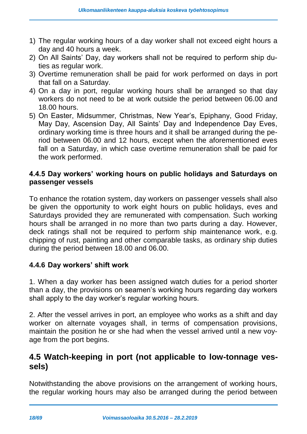- 1) The regular working hours of a day worker shall not exceed eight hours a day and 40 hours a week.
- 2) On All Saints' Day, day workers shall not be required to perform ship duties as regular work.
- 3) Overtime remuneration shall be paid for work performed on days in port that fall on a Saturday.
- 4) On a day in port, regular working hours shall be arranged so that day workers do not need to be at work outside the period between 06.00 and 18.00 hours.
- 5) On Easter, Midsummer, Christmas, New Year's, Epiphany, Good Friday, May Day, Ascension Day, All Saints' Day and Independence Day Eves, ordinary working time is three hours and it shall be arranged during the period between 06.00 and 12 hours, except when the aforementioned eves fall on a Saturday, in which case overtime remuneration shall be paid for the work performed.

#### **4.4.5 Day workers' working hours on public holidays and Saturdays on passenger vessels**

To enhance the rotation system, day workers on passenger vessels shall also be given the opportunity to work eight hours on public holidays, eves and Saturdays provided they are remunerated with compensation. Such working hours shall be arranged in no more than two parts during a day. However, deck ratings shall not be required to perform ship maintenance work, e.g. chipping of rust, painting and other comparable tasks, as ordinary ship duties during the period between 18.00 and 06.00.

#### **4.4.6 Day workers' shift work**

1. When a day worker has been assigned watch duties for a period shorter than a day, the provisions on seamen's working hours regarding day workers shall apply to the day worker's regular working hours.

2. After the vessel arrives in port, an employee who works as a shift and day worker on alternate voyages shall, in terms of compensation provisions, maintain the position he or she had when the vessel arrived until a new voyage from the port begins.

### <span id="page-17-0"></span>**4.5 Watch-keeping in port (not applicable to low-tonnage vessels)**

Notwithstanding the above provisions on the arrangement of working hours, the regular working hours may also be arranged during the period between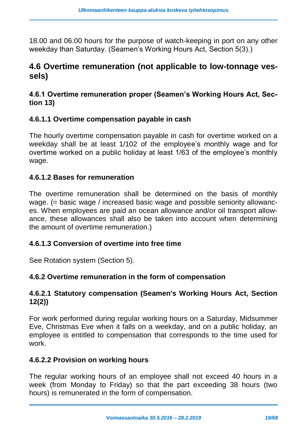18.00 and 06.00 hours for the purpose of watch-keeping in port on any other weekday than Saturday. (Seamen's Working Hours Act, Section 5(3).)

### <span id="page-18-0"></span>**4.6 Overtime remuneration (not applicable to low-tonnage vessels)**

#### <span id="page-18-1"></span>**4.6.1 Overtime remuneration proper (Seamen's Working Hours Act, Section 13)**

#### **4.6.1.1 Overtime compensation payable in cash**

The hourly overtime compensation payable in cash for overtime worked on a weekday shall be at least 1/102 of the employee's monthly wage and for overtime worked on a public holiday at least 1/63 of the employee's monthly wage.

#### **4.6.1.2 Bases for remuneration**

The overtime remuneration shall be determined on the basis of monthly wage. (= basic wage / increased basic wage and possible seniority allowances. When employees are paid an ocean allowance and/or oil transport allowance, these allowances shall also be taken into account when determining the amount of overtime remuneration.)

#### **4.6.1.3 Conversion of overtime into free time**

See Rotation system (Section 5).

#### **4.6.2 Overtime remuneration in the form of compensation**

#### **4.6.2.1 Statutory compensation (Seamen's Working Hours Act, Section 12(2))**

For work performed during regular working hours on a Saturday, Midsummer Eve, Christmas Eve when it falls on a weekday, and on a public holiday, an employee is entitled to compensation that corresponds to the time used for work.

#### **4.6.2.2 Provision on working hours**

The regular working hours of an employee shall not exceed 40 hours in a week (from Monday to Friday) so that the part exceeding 38 hours (two hours) is remunerated in the form of compensation.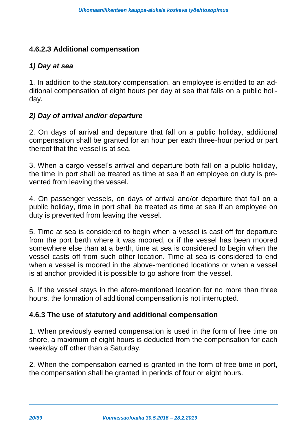#### **4.6.2.3 Additional compensation**

#### *1) Day at sea*

1. In addition to the statutory compensation, an employee is entitled to an additional compensation of eight hours per day at sea that falls on a public holiday.

#### *2) Day of arrival and/or departure*

2. On days of arrival and departure that fall on a public holiday, additional compensation shall be granted for an hour per each three-hour period or part thereof that the vessel is at sea.

3. When a cargo vessel's arrival and departure both fall on a public holiday, the time in port shall be treated as time at sea if an employee on duty is prevented from leaving the vessel.

4. On passenger vessels, on days of arrival and/or departure that fall on a public holiday, time in port shall be treated as time at sea if an employee on duty is prevented from leaving the vessel.

5. Time at sea is considered to begin when a vessel is cast off for departure from the port berth where it was moored, or if the vessel has been moored somewhere else than at a berth, time at sea is considered to begin when the vessel casts off from such other location. Time at sea is considered to end when a vessel is moored in the above-mentioned locations or when a vessel is at anchor provided it is possible to go ashore from the vessel.

6. If the vessel stays in the afore-mentioned location for no more than three hours, the formation of additional compensation is not interrupted.

#### **4.6.3 The use of statutory and additional compensation**

1. When previously earned compensation is used in the form of free time on shore, a maximum of eight hours is deducted from the compensation for each weekday off other than a Saturday.

2. When the compensation earned is granted in the form of free time in port, the compensation shall be granted in periods of four or eight hours.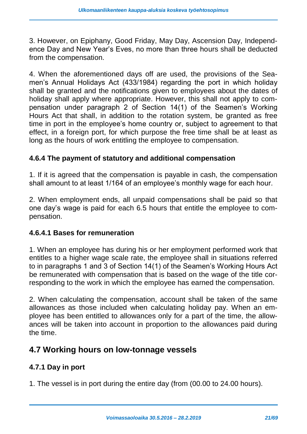3. However, on Epiphany, Good Friday, May Day, Ascension Day, Independence Day and New Year's Eves, no more than three hours shall be deducted from the compensation.

4. When the aforementioned days off are used, the provisions of the Seamen's Annual Holidays Act (433/1984) regarding the port in which holiday shall be granted and the notifications given to employees about the dates of holiday shall apply where appropriate. However, this shall not apply to compensation under paragraph 2 of Section 14(1) of the Seamen's Working Hours Act that shall, in addition to the rotation system, be granted as free time in port in the employee's home country or, subject to agreement to that effect, in a foreign port, for which purpose the free time shall be at least as long as the hours of work entitling the employee to compensation.

#### **4.6.4 The payment of statutory and additional compensation**

1. If it is agreed that the compensation is payable in cash, the compensation shall amount to at least 1/164 of an employee's monthly wage for each hour.

2. When employment ends, all unpaid compensations shall be paid so that one day's wage is paid for each 6.5 hours that entitle the employee to compensation.

#### **4.6.4.1 Bases for remuneration**

1. When an employee has during his or her employment performed work that entitles to a higher wage scale rate, the employee shall in situations referred to in paragraphs 1 and 3 of Section 14(1) of the Seamen's Working Hours Act be remunerated with compensation that is based on the wage of the title corresponding to the work in which the employee has earned the compensation.

2. When calculating the compensation, account shall be taken of the same allowances as those included when calculating holiday pay. When an employee has been entitled to allowances only for a part of the time, the allowances will be taken into account in proportion to the allowances paid during the time.

### <span id="page-20-0"></span>**4.7 Working hours on low-tonnage vessels**

#### **4.7.1 Day in port**

1. The vessel is in port during the entire day (from (00.00 to 24.00 hours).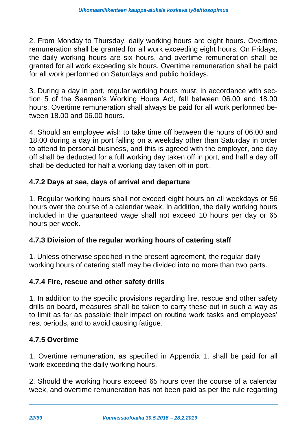2. From Monday to Thursday, daily working hours are eight hours. Overtime remuneration shall be granted for all work exceeding eight hours. On Fridays, the daily working hours are six hours, and overtime remuneration shall be granted for all work exceeding six hours. Overtime remuneration shall be paid for all work performed on Saturdays and public holidays.

3. During a day in port, regular working hours must, in accordance with section 5 of the Seamen's Working Hours Act, fall between 06.00 and 18.00 hours. Overtime remuneration shall always be paid for all work performed between 18.00 and 06.00 hours.

4. Should an employee wish to take time off between the hours of 06.00 and 18.00 during a day in port falling on a weekday other than Saturday in order to attend to personal business, and this is agreed with the employer, one day off shall be deducted for a full working day taken off in port, and half a day off shall be deducted for half a working day taken off in port.

#### **4.7.2 Days at sea, days of arrival and departure**

1. Regular working hours shall not exceed eight hours on all weekdays or 56 hours over the course of a calendar week. In addition, the daily working hours included in the guaranteed wage shall not exceed 10 hours per day or 65 hours per week.

#### **4.7.3 Division of the regular working hours of catering staff**

1. Unless otherwise specified in the present agreement, the regular daily working hours of catering staff may be divided into no more than two parts.

#### **4.7.4 Fire, rescue and other safety drills**

1. In addition to the specific provisions regarding fire, rescue and other safety drills on board, measures shall be taken to carry these out in such a way as to limit as far as possible their impact on routine work tasks and employees' rest periods, and to avoid causing fatigue.

#### **4.7.5 Overtime**

1. Overtime remuneration, as specified in Appendix 1, shall be paid for all work exceeding the daily working hours.

2. Should the working hours exceed 65 hours over the course of a calendar week, and overtime remuneration has not been paid as per the rule regarding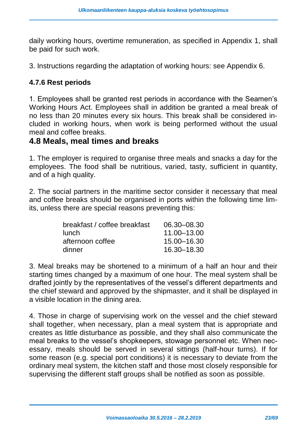daily working hours, overtime remuneration, as specified in Appendix 1, shall be paid for such work.

3. Instructions regarding the adaptation of working hours: see Appendix 6.

#### **4.7.6 Rest periods**

1. Employees shall be granted rest periods in accordance with the Seamen's Working Hours Act. Employees shall in addition be granted a meal break of no less than 20 minutes every six hours. This break shall be considered included in working hours, when work is being performed without the usual meal and coffee breaks.

#### <span id="page-22-0"></span>**4.8 Meals, meal times and breaks**

1. The employer is required to organise three meals and snacks a day for the employees. The food shall be nutritious, varied, tasty, sufficient in quantity, and of a high quality.

2. The social partners in the maritime sector consider it necessary that meal and coffee breaks should be organised in ports within the following time limits, unless there are special reasons preventing this:

| breakfast / coffee breakfast | 06.30 - 08.30 |
|------------------------------|---------------|
| lunch                        | 11.00 - 13.00 |
| afternoon coffee             | 15.00 - 16.30 |
| dinner                       | 16.30-18.30   |

3. Meal breaks may be shortened to a minimum of a half an hour and their starting times changed by a maximum of one hour. The meal system shall be drafted jointly by the representatives of the vessel's different departments and the chief steward and approved by the shipmaster, and it shall be displayed in a visible location in the dining area.

4. Those in charge of supervising work on the vessel and the chief steward shall together, when necessary, plan a meal system that is appropriate and creates as little disturbance as possible, and they shall also communicate the meal breaks to the vessel's shopkeepers, stowage personnel etc. When necessary, meals should be served in several sittings (half-hour turns). If for some reason (e.g. special port conditions) it is necessary to deviate from the ordinary meal system, the kitchen staff and those most closely responsible for supervising the different staff groups shall be notified as soon as possible.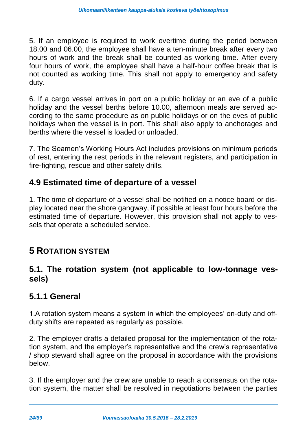5. If an employee is required to work overtime during the period between 18.00 and 06.00, the employee shall have a ten-minute break after every two hours of work and the break shall be counted as working time. After every four hours of work, the employee shall have a half-hour coffee break that is not counted as working time. This shall not apply to emergency and safety duty.

6. If a cargo vessel arrives in port on a public holiday or an eve of a public holiday and the vessel berths before 10.00, afternoon meals are served according to the same procedure as on public holidays or on the eves of public holidays when the vessel is in port. This shall also apply to anchorages and berths where the vessel is loaded or unloaded.

7. The Seamen's Working Hours Act includes provisions on minimum periods of rest, entering the rest periods in the relevant registers, and participation in fire-fighting, rescue and other safety drills.

### <span id="page-23-0"></span>**4.9 Estimated time of departure of a vessel**

1. The time of departure of a vessel shall be notified on a notice board or display located near the shore gangway, if possible at least four hours before the estimated time of departure. However, this provision shall not apply to vessels that operate a scheduled service.

### <span id="page-23-1"></span>**5 ROTATION SYSTEM**

### <span id="page-23-2"></span>**5.1. The rotation system (not applicable to low-tonnage vessels)**

### <span id="page-23-3"></span>**5.1.1 General**

1.A rotation system means a system in which the employees' on-duty and offduty shifts are repeated as regularly as possible.

2. The employer drafts a detailed proposal for the implementation of the rotation system, and the employer's representative and the crew's representative / shop steward shall agree on the proposal in accordance with the provisions below.

3. If the employer and the crew are unable to reach a consensus on the rotation system, the matter shall be resolved in negotiations between the parties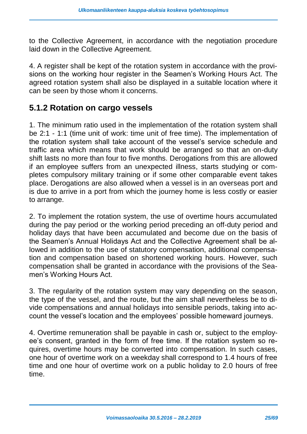to the Collective Agreement, in accordance with the negotiation procedure laid down in the Collective Agreement.

4. A register shall be kept of the rotation system in accordance with the provisions on the working hour register in the Seamen's Working Hours Act. The agreed rotation system shall also be displayed in a suitable location where it can be seen by those whom it concerns.

### <span id="page-24-0"></span>**5.1.2 Rotation on cargo vessels**

1. The minimum ratio used in the implementation of the rotation system shall be 2:1 - 1:1 (time unit of work: time unit of free time). The implementation of the rotation system shall take account of the vessel's service schedule and traffic area which means that work should be arranged so that an on-duty shift lasts no more than four to five months. Derogations from this are allowed if an employee suffers from an unexpected illness, starts studying or completes compulsory military training or if some other comparable event takes place. Derogations are also allowed when a vessel is in an overseas port and is due to arrive in a port from which the journey home is less costly or easier to arrange.

2. To implement the rotation system, the use of overtime hours accumulated during the pay period or the working period preceding an off-duty period and holiday days that have been accumulated and become due on the basis of the Seamen's Annual Holidays Act and the Collective Agreement shall be allowed in addition to the use of statutory compensation, additional compensation and compensation based on shortened working hours. However, such compensation shall be granted in accordance with the provisions of the Seamen's Working Hours Act.

3. The regularity of the rotation system may vary depending on the season, the type of the vessel, and the route, but the aim shall nevertheless be to divide compensations and annual holidays into sensible periods, taking into account the vessel's location and the employees' possible homeward journeys.

4. Overtime remuneration shall be payable in cash or, subject to the employee's consent, granted in the form of free time. If the rotation system so requires, overtime hours may be converted into compensation. In such cases, one hour of overtime work on a weekday shall correspond to 1.4 hours of free time and one hour of overtime work on a public holiday to 2.0 hours of free time.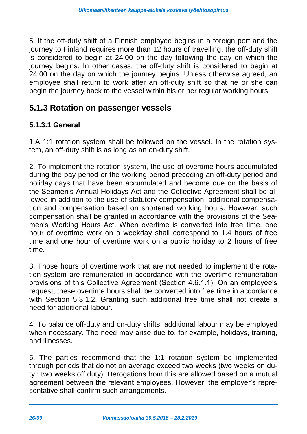5. If the off-duty shift of a Finnish employee begins in a foreign port and the journey to Finland requires more than 12 hours of travelling, the off-duty shift is considered to begin at 24.00 on the day following the day on which the journey begins. In other cases, the off-duty shift is considered to begin at 24.00 on the day on which the journey begins. Unless otherwise agreed, an employee shall return to work after an off-duty shift so that he or she can begin the journey back to the vessel within his or her regular working hours.

### <span id="page-25-0"></span>**5.1.3 Rotation on passenger vessels**

#### **5.1.3.1 General**

1.A 1:1 rotation system shall be followed on the vessel. In the rotation system, an off-duty shift is as long as an on-duty shift.

2. To implement the rotation system, the use of overtime hours accumulated during the pay period or the working period preceding an off-duty period and holiday days that have been accumulated and become due on the basis of the Seamen's Annual Holidays Act and the Collective Agreement shall be allowed in addition to the use of statutory compensation, additional compensation and compensation based on shortened working hours. However, such compensation shall be granted in accordance with the provisions of the Seamen's Working Hours Act. When overtime is converted into free time, one hour of overtime work on a weekday shall correspond to 1.4 hours of free time and one hour of overtime work on a public holiday to 2 hours of free time.

3. Those hours of overtime work that are not needed to implement the rotation system are remunerated in accordance with the overtime remuneration provisions of this Collective Agreement (Section 4.6.1.1). On an employee's request, these overtime hours shall be converted into free time in accordance with Section 5.3.1.2. Granting such additional free time shall not create a need for additional labour.

4. To balance off-duty and on-duty shifts, additional labour may be employed when necessary. The need may arise due to, for example, holidays, training, and illnesses.

5. The parties recommend that the 1:1 rotation system be implemented through periods that do not on average exceed two weeks (two weeks on duty : two weeks off duty). Derogations from this are allowed based on a mutual agreement between the relevant employees. However, the employer's representative shall confirm such arrangements.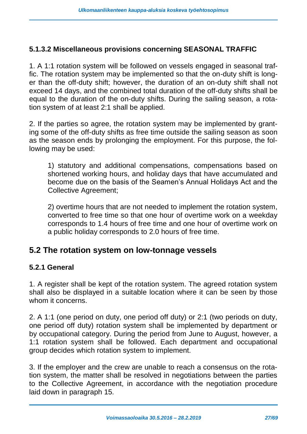#### **5.1.3.2 Miscellaneous provisions concerning SEASONAL TRAFFIC**

1. A 1:1 rotation system will be followed on vessels engaged in seasonal traffic. The rotation system may be implemented so that the on-duty shift is longer than the off-duty shift; however, the duration of an on-duty shift shall not exceed 14 days, and the combined total duration of the off-duty shifts shall be equal to the duration of the on-duty shifts. During the sailing season, a rotation system of at least 2:1 shall be applied.

2. If the parties so agree, the rotation system may be implemented by granting some of the off-duty shifts as free time outside the sailing season as soon as the season ends by prolonging the employment. For this purpose, the following may be used:

1) statutory and additional compensations, compensations based on shortened working hours, and holiday days that have accumulated and become due on the basis of the Seamen's Annual Holidays Act and the Collective Agreement;

2) overtime hours that are not needed to implement the rotation system, converted to free time so that one hour of overtime work on a weekday corresponds to 1.4 hours of free time and one hour of overtime work on a public holiday corresponds to 2.0 hours of free time.

### <span id="page-26-0"></span>**5.2 The rotation system on low-tonnage vessels**

#### **5.2.1 General**

1. A register shall be kept of the rotation system. The agreed rotation system shall also be displayed in a suitable location where it can be seen by those whom it concerns.

2. A 1:1 (one period on duty, one period off duty) or 2:1 (two periods on duty, one period off duty) rotation system shall be implemented by department or by occupational category. During the period from June to August, however, a 1:1 rotation system shall be followed. Each department and occupational group decides which rotation system to implement.

3. If the employer and the crew are unable to reach a consensus on the rotation system, the matter shall be resolved in negotiations between the parties to the Collective Agreement, in accordance with the negotiation procedure laid down in paragraph 15.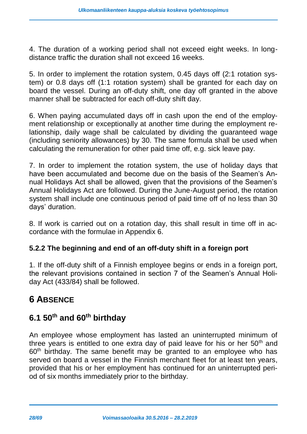4. The duration of a working period shall not exceed eight weeks. In longdistance traffic the duration shall not exceed 16 weeks.

5. In order to implement the rotation system, 0.45 days off (2:1 rotation system) or 0.8 days off (1:1 rotation system) shall be granted for each day on board the vessel. During an off-duty shift, one day off granted in the above manner shall be subtracted for each off-duty shift day.

6. When paying accumulated days off in cash upon the end of the employment relationship or exceptionally at another time during the employment relationship, daily wage shall be calculated by dividing the guaranteed wage (including seniority allowances) by 30. The same formula shall be used when calculating the remuneration for other paid time off, e.g. sick leave pay.

7. In order to implement the rotation system, the use of holiday days that have been accumulated and become due on the basis of the Seamen's Annual Holidays Act shall be allowed, given that the provisions of the Seamen's Annual Holidays Act are followed. During the June-August period, the rotation system shall include one continuous period of paid time off of no less than 30 days' duration.

8. If work is carried out on a rotation day, this shall result in time off in accordance with the formulae in Appendix 6.

#### **5.2.2 The beginning and end of an off-duty shift in a foreign port**

1. If the off-duty shift of a Finnish employee begins or ends in a foreign port, the relevant provisions contained in section 7 of the Seamen's Annual Holiday Act (433/84) shall be followed.

# <span id="page-27-0"></span>**6 ABSENCE**

### <span id="page-27-1"></span>**6.1 50th and 60th birthday**

An employee whose employment has lasted an uninterrupted minimum of three years is entitled to one extra day of paid leave for his or her  $50<sup>th</sup>$  and 60<sup>th</sup> birthday. The same benefit may be granted to an employee who has served on board a vessel in the Finnish merchant fleet for at least ten years, provided that his or her employment has continued for an uninterrupted period of six months immediately prior to the birthday.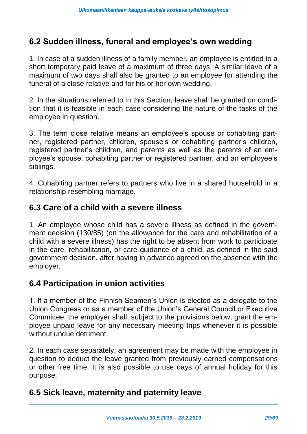### <span id="page-28-0"></span>**6.2 Sudden illness, funeral and employee's own wedding**

1. In case of a sudden illness of a family member, an employee is entitled to a short temporary paid leave of a maximum of three days. A similar leave of a maximum of two days shall also be granted to an employee for attending the funeral of a close relative and for his or her own wedding.

2. In the situations referred to in this Section, leave shall be granted on condition that it is feasible in each case considering the nature of the tasks of the employee in question.

3. The term close relative means an employee's spouse or cohabiting partner, registered partner, children, spouse's or cohabiting partner's children, registered partner's children, and parents as well as the parents of an employee's spouse, cohabiting partner or registered partner, and an employee's siblings.

4. Cohabiting partner refers to partners who live in a shared household in a relationship resembling marriage.

### <span id="page-28-1"></span>**6.3 Care of a child with a severe illness**

1. An employee whose child has a severe illness as defined in the government decision (130/85) (on the allowance for the care and rehabilitation of a child with a severe illness) has the right to be absent from work to participate in the care, rehabilitation, or care guidance of a child, as defined in the said government decision, after having in advance agreed on the absence with the employer.

#### <span id="page-28-2"></span>**6.4 Participation in union activities**

1. If a member of the Finnish Seamen's Union is elected as a delegate to the Union Congress or as a member of the Union's General Council or Executive Committee, the employer shall, subject to the provisions below, grant the employee unpaid leave for any necessary meeting trips whenever it is possible without undue detriment.

2. In each case separately, an agreement may be made with the employee in question to deduct the leave granted from previously earned compensations or other free time. It is also possible to use days of annual holiday for this purpose.

### <span id="page-28-3"></span>**6.5 Sick leave, maternity and paternity leave**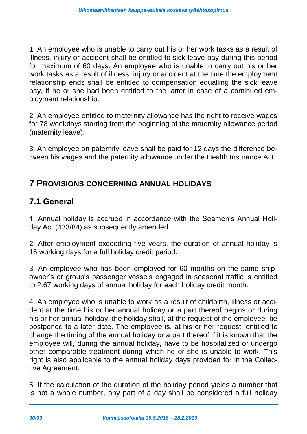1. An employee who is unable to carry out his or her work tasks as a result of illness, injury or accident shall be entitled to sick leave pay during this period for maximum of 60 days. An employee who is unable to carry out his or her work tasks as a result of illness, injury or accident at the time the employment relationship ends shall be entitled to compensation equalling the sick leave pay, if he or she had been entitled to the latter in case of a continued employment relationship.

2. An employee entitled to maternity allowance has the right to receive wages for 78 weekdays starting from the beginning of the maternity allowance period (maternity leave).

3. An employee on paternity leave shall be paid for 12 days the difference between his wages and the paternity allowance under the Health Insurance Act.

### <span id="page-29-0"></span>**7 PROVISIONS CONCERNING ANNUAL HOLIDAYS**

### <span id="page-29-1"></span>**7.1 General**

1. Annual holiday is accrued in accordance with the Seamen's Annual Holiday Act (433/84) as subsequently amended.

2. After employment exceeding five years, the duration of annual holiday is 16 working days for a full holiday credit period.

3. An employee who has been employed for 60 months on the same shipowner's or group's passenger vessels engaged in seasonal traffic is entitled to 2.67 working days of annual holiday for each holiday credit month.

4. An employee who is unable to work as a result of childbirth, illness or accident at the time his or her annual holiday or a part thereof begins or during his or her annual holiday, the holiday shall, at the request of the employee, be postponed to a later date. The employee is, at his or her request, entitled to change the timing of the annual holiday or a part thereof if it is known that the employee will, during the annual holiday, have to be hospitalized or undergo other comparable treatment during which he or she is unable to work. This right is also applicable to the annual holiday days provided for in the Collective Agreement.

5. If the calculation of the duration of the holiday period yields a number that is not a whole number, any part of a day shall be considered a full holiday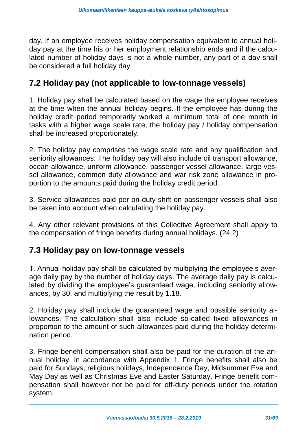day. If an employee receives holiday compensation equivalent to annual holiday pay at the time his or her employment relationship ends and if the calculated number of holiday days is not a whole number, any part of a day shall be considered a full holiday day.

### <span id="page-30-0"></span>**7.2 Holiday pay (not applicable to low-tonnage vessels)**

1. Holiday pay shall be calculated based on the wage the employee receives at the time when the annual holiday begins. If the employee has during the holiday credit period temporarily worked a minimum total of one month in tasks with a higher wage scale rate, the holiday pay / holiday compensation shall be increased proportionately.

2. The holiday pay comprises the wage scale rate and any qualification and seniority allowances. The holiday pay will also include oil transport allowance, ocean allowance, uniform allowance, passenger vessel allowance, large vessel allowance, common duty allowance and war risk zone allowance in proportion to the amounts paid during the holiday credit period.

3. Service allowances paid per on-duty shift on passenger vessels shall also be taken into account when calculating the holiday pay.

4. Any other relevant provisions of this Collective Agreement shall apply to the compensation of fringe benefits during annual holidays. (24.2)

### <span id="page-30-1"></span>**7.3 Holiday pay on low-tonnage vessels**

1. Annual holiday pay shall be calculated by multiplying the employee's average daily pay by the number of holiday days. The average daily pay is calculated by dividing the employee's guaranteed wage, including seniority allowances, by 30, and multiplying the result by 1.18.

2. Holiday pay shall include the guaranteed wage and possible seniority allowances. The calculation shall also include so-called fixed allowances in proportion to the amount of such allowances paid during the holiday determination period.

3. Fringe benefit compensation shall also be paid for the duration of the annual holiday, in accordance with Appendix 1. Fringe benefits shall also be paid for Sundays, religious holidays, Independence Day, Midsummer Eve and May Day as well as Christmas Eve and Easter Saturday. Fringe benefit compensation shall however not be paid for off-duty periods under the rotation system.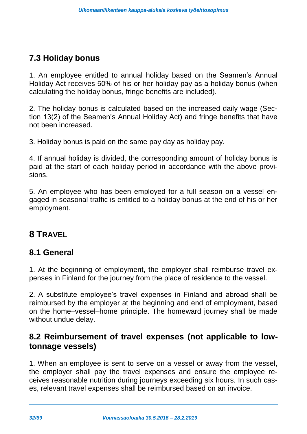# <span id="page-31-0"></span>**7.3 Holiday bonus**

1. An employee entitled to annual holiday based on the Seamen's Annual Holiday Act receives 50% of his or her holiday pay as a holiday bonus (when calculating the holiday bonus, fringe benefits are included).

2. The holiday bonus is calculated based on the increased daily wage (Section 13(2) of the Seamen's Annual Holiday Act) and fringe benefits that have not been increased.

3. Holiday bonus is paid on the same pay day as holiday pay.

4. If annual holiday is divided, the corresponding amount of holiday bonus is paid at the start of each holiday period in accordance with the above provisions.

5. An employee who has been employed for a full season on a vessel engaged in seasonal traffic is entitled to a holiday bonus at the end of his or her employment.

# <span id="page-31-1"></span>**8 TRAVEL**

### <span id="page-31-2"></span>**8.1 General**

1. At the beginning of employment, the employer shall reimburse travel expenses in Finland for the journey from the place of residence to the vessel.

2. A substitute employee's travel expenses in Finland and abroad shall be reimbursed by the employer at the beginning and end of employment, based on the home–vessel–home principle. The homeward journey shall be made without undue delay.

### <span id="page-31-3"></span>**8.2 Reimbursement of travel expenses (not applicable to lowtonnage vessels)**

1. When an employee is sent to serve on a vessel or away from the vessel, the employer shall pay the travel expenses and ensure the employee receives reasonable nutrition during journeys exceeding six hours. In such cases, relevant travel expenses shall be reimbursed based on an invoice.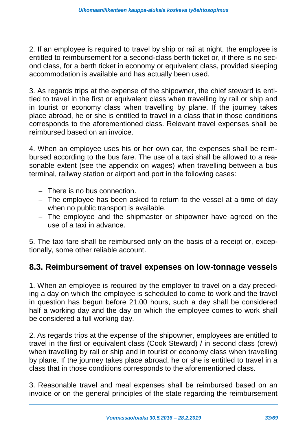2. If an employee is required to travel by ship or rail at night, the employee is entitled to reimbursement for a second-class berth ticket or, if there is no second class, for a berth ticket in economy or equivalent class, provided sleeping accommodation is available and has actually been used.

3. As regards trips at the expense of the shipowner, the chief steward is entitled to travel in the first or equivalent class when travelling by rail or ship and in tourist or economy class when travelling by plane. If the journey takes place abroad, he or she is entitled to travel in a class that in those conditions corresponds to the aforementioned class. Relevant travel expenses shall be reimbursed based on an invoice.

4. When an employee uses his or her own car, the expenses shall be reimbursed according to the bus fare. The use of a taxi shall be allowed to a reasonable extent (see the appendix on wages) when travelling between a bus terminal, railway station or airport and port in the following cases:

- There is no bus connection.
- The employee has been asked to return to the vessel at a time of day when no public transport is available.
- The employee and the shipmaster or shipowner have agreed on the use of a taxi in advance.

5. The taxi fare shall be reimbursed only on the basis of a receipt or, exceptionally, some other reliable account.

### <span id="page-32-0"></span>**8.3. Reimbursement of travel expenses on low-tonnage vessels**

1. When an employee is required by the employer to travel on a day preceding a day on which the employee is scheduled to come to work and the travel in question has begun before 21.00 hours, such a day shall be considered half a working day and the day on which the employee comes to work shall be considered a full working day.

2. As regards trips at the expense of the shipowner, employees are entitled to travel in the first or equivalent class (Cook Steward) / in second class (crew) when travelling by rail or ship and in tourist or economy class when travelling by plane. If the journey takes place abroad, he or she is entitled to travel in a class that in those conditions corresponds to the aforementioned class.

3. Reasonable travel and meal expenses shall be reimbursed based on an invoice or on the general principles of the state regarding the reimbursement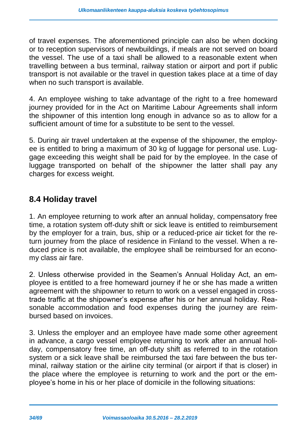of travel expenses. The aforementioned principle can also be when docking or to reception supervisors of newbuildings, if meals are not served on board the vessel. The use of a taxi shall be allowed to a reasonable extent when travelling between a bus terminal, railway station or airport and port if public transport is not available or the travel in question takes place at a time of day when no such transport is available.

4. An employee wishing to take advantage of the right to a free homeward journey provided for in the Act on Maritime Labour Agreements shall inform the shipowner of this intention long enough in advance so as to allow for a sufficient amount of time for a substitute to be sent to the vessel.

5. During air travel undertaken at the expense of the shipowner, the employee is entitled to bring a maximum of 30 kg of luggage for personal use. Luggage exceeding this weight shall be paid for by the employee. In the case of luggage transported on behalf of the shipowner the latter shall pay any charges for excess weight.

### <span id="page-33-0"></span>**8.4 Holiday travel**

1. An employee returning to work after an annual holiday, compensatory free time, a rotation system off-duty shift or sick leave is entitled to reimbursement by the employer for a train, bus, ship or a reduced-price air ticket for the return journey from the place of residence in Finland to the vessel. When a reduced price is not available, the employee shall be reimbursed for an economy class air fare.

2. Unless otherwise provided in the Seamen's Annual Holiday Act, an employee is entitled to a free homeward journey if he or she has made a written agreement with the shipowner to return to work on a vessel engaged in crosstrade traffic at the shipowner's expense after his or her annual holiday. Reasonable accommodation and food expenses during the journey are reimbursed based on invoices.

3. Unless the employer and an employee have made some other agreement in advance, a cargo vessel employee returning to work after an annual holiday, compensatory free time, an off-duty shift as referred to in the rotation system or a sick leave shall be reimbursed the taxi fare between the bus terminal, railway station or the airline city terminal (or airport if that is closer) in the place where the employee is returning to work and the port or the employee's home in his or her place of domicile in the following situations: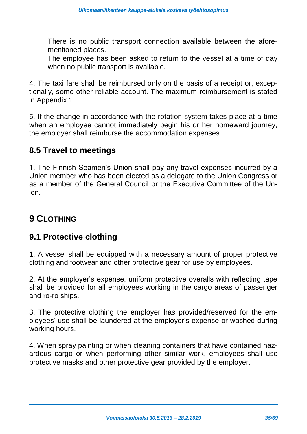- There is no public transport connection available between the aforementioned places.
- The employee has been asked to return to the vessel at a time of day when no public transport is available.

4. The taxi fare shall be reimbursed only on the basis of a receipt or, exceptionally, some other reliable account. The maximum reimbursement is stated in Appendix 1.

5. If the change in accordance with the rotation system takes place at a time when an employee cannot immediately begin his or her homeward journey, the employer shall reimburse the accommodation expenses.

### <span id="page-34-0"></span>**8.5 Travel to meetings**

1. The Finnish Seamen's Union shall pay any travel expenses incurred by a Union member who has been elected as a delegate to the Union Congress or as a member of the General Council or the Executive Committee of the Union.

# <span id="page-34-1"></span>**9 CLOTHING**

### <span id="page-34-2"></span>**9.1 Protective clothing**

1. A vessel shall be equipped with a necessary amount of proper protective clothing and footwear and other protective gear for use by employees.

2. At the employer's expense, uniform protective overalls with reflecting tape shall be provided for all employees working in the cargo areas of passenger and ro-ro ships.

3. The protective clothing the employer has provided/reserved for the employees' use shall be laundered at the employer's expense or washed during working hours.

4. When spray painting or when cleaning containers that have contained hazardous cargo or when performing other similar work, employees shall use protective masks and other protective gear provided by the employer.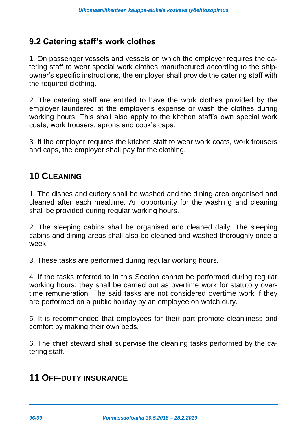### <span id="page-35-0"></span>**9.2 Catering staff's work clothes**

1. On passenger vessels and vessels on which the employer requires the catering staff to wear special work clothes manufactured according to the shipowner's specific instructions, the employer shall provide the catering staff with the required clothing.

2. The catering staff are entitled to have the work clothes provided by the employer laundered at the employer's expense or wash the clothes during working hours. This shall also apply to the kitchen staff's own special work coats, work trousers, aprons and cook's caps.

3. If the employer requires the kitchen staff to wear work coats, work trousers and caps, the employer shall pay for the clothing.

### <span id="page-35-1"></span>**10 CLEANING**

1. The dishes and cutlery shall be washed and the dining area organised and cleaned after each mealtime. An opportunity for the washing and cleaning shall be provided during regular working hours.

2. The sleeping cabins shall be organised and cleaned daily. The sleeping cabins and dining areas shall also be cleaned and washed thoroughly once a week.

3. These tasks are performed during regular working hours.

4. If the tasks referred to in this Section cannot be performed during regular working hours, they shall be carried out as overtime work for statutory overtime remuneration. The said tasks are not considered overtime work if they are performed on a public holiday by an employee on watch duty.

5. It is recommended that employees for their part promote cleanliness and comfort by making their own beds.

6. The chief steward shall supervise the cleaning tasks performed by the catering staff.

# <span id="page-35-2"></span>**11 OFF-DUTY INSURANCE**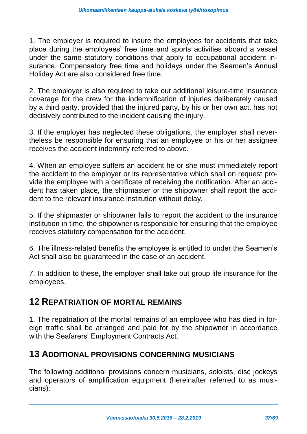1. The employer is required to insure the employees for accidents that take place during the employees' free time and sports activities aboard a vessel under the same statutory conditions that apply to occupational accident insurance. Compensatory free time and holidays under the Seamen's Annual Holiday Act are also considered free time.

2. The employer is also required to take out additional leisure-time insurance coverage for the crew for the indemnification of injuries deliberately caused by a third party, provided that the injured party, by his or her own act, has not decisively contributed to the incident causing the injury.

3. If the employer has neglected these obligations, the employer shall nevertheless be responsible for ensuring that an employee or his or her assignee receives the accident indemnity referred to above.

4. When an employee suffers an accident he or she must immediately report the accident to the employer or its representative which shall on request provide the employee with a certificate of receiving the notification. After an accident has taken place, the shipmaster or the shipowner shall report the accident to the relevant insurance institution without delay.

5. If the shipmaster or shipowner fails to report the accident to the insurance institution in time, the shipowner is responsible for ensuring that the employee receives statutory compensation for the accident.

6. The illness-related benefits the employee is entitled to under the Seamen's Act shall also be guaranteed in the case of an accident.

7. In addition to these, the employer shall take out group life insurance for the employees.

### <span id="page-36-0"></span>**12 REPATRIATION OF MORTAL REMAINS**

1. The repatriation of the mortal remains of an employee who has died in foreign traffic shall be arranged and paid for by the shipowner in accordance with the Seafarers' Employment Contracts Act.

### <span id="page-36-1"></span>**13 ADDITIONAL PROVISIONS CONCERNING MUSICIANS**

The following additional provisions concern musicians, soloists, disc jockeys and operators of amplification equipment (hereinafter referred to as musicians):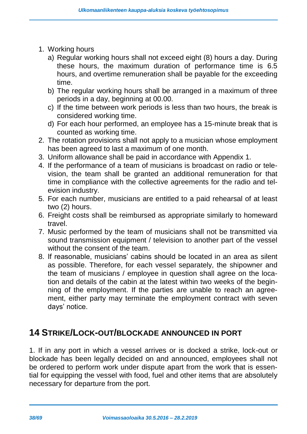- 1. Working hours
	- a) Regular working hours shall not exceed eight (8) hours a day. During these hours, the maximum duration of performance time is 6.5 hours, and overtime remuneration shall be payable for the exceeding time.
	- b) The regular working hours shall be arranged in a maximum of three periods in a day, beginning at 00.00.
	- c) If the time between work periods is less than two hours, the break is considered working time.
	- d) For each hour performed, an employee has a 15-minute break that is counted as working time.
- 2. The rotation provisions shall not apply to a musician whose employment has been agreed to last a maximum of one month.
- 3. Uniform allowance shall be paid in accordance with Appendix 1.
- 4. If the performance of a team of musicians is broadcast on radio or television, the team shall be granted an additional remuneration for that time in compliance with the collective agreements for the radio and television industry.
- 5. For each number, musicians are entitled to a paid rehearsal of at least two (2) hours.
- 6. Freight costs shall be reimbursed as appropriate similarly to homeward travel.
- 7. Music performed by the team of musicians shall not be transmitted via sound transmission equipment / television to another part of the vessel without the consent of the team.
- 8. If reasonable, musicians' cabins should be located in an area as silent as possible. Therefore, for each vessel separately, the shipowner and the team of musicians / employee in question shall agree on the location and details of the cabin at the latest within two weeks of the beginning of the employment. If the parties are unable to reach an agreement, either party may terminate the employment contract with seven days' notice.

### <span id="page-37-0"></span>**14 STRIKE/LOCK-OUT/BLOCKADE ANNOUNCED IN PORT**

1. If in any port in which a vessel arrives or is docked a strike, lock-out or blockade has been legally decided on and announced, employees shall not be ordered to perform work under dispute apart from the work that is essential for equipping the vessel with food, fuel and other items that are absolutely necessary for departure from the port.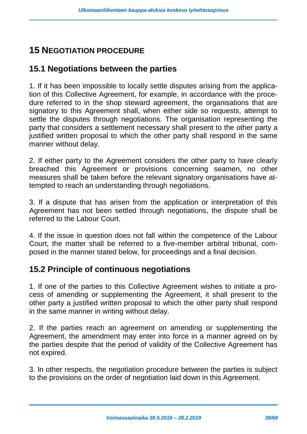# <span id="page-38-0"></span>**15 NEGOTIATION PROCEDURE**

### <span id="page-38-1"></span>**15.1 Negotiations between the parties**

1. If it has been impossible to locally settle disputes arising from the application of this Collective Agreement, for example, in accordance with the procedure referred to in the shop steward agreement, the organisations that are signatory to this Agreement shall, when either side so requests, attempt to settle the disputes through negotiations. The organisation representing the party that considers a settlement necessary shall present to the other party a justified written proposal to which the other party shall respond in the same manner without delay.

2. If either party to the Agreement considers the other party to have clearly breached this Agreement or provisions concerning seamen, no other measures shall be taken before the relevant signatory organisations have attempted to reach an understanding through negotiations.

3. If a dispute that has arisen from the application or interpretation of this Agreement has not been settled through negotiations, the dispute shall be referred to the Labour Court.

4. If the issue in question does not fall within the competence of the Labour Court, the matter shall be referred to a five-member arbitral tribunal, composed in the manner stated below, for proceedings and a final decision.

### <span id="page-38-2"></span>**15.2 Principle of continuous negotiations**

1. If one of the parties to this Collective Agreement wishes to initiate a process of amending or supplementing the Agreement, it shall present to the other party a justified written proposal to which the other party shall respond in the same manner in writing without delay.

2. If the parties reach an agreement on amending or supplementing the Agreement, the amendment may enter into force in a manner agreed on by the parties despite that the period of validity of the Collective Agreement has not expired.

3. In other respects, the negotiation procedure between the parties is subject to the provisions on the order of negotiation laid down in this Agreement.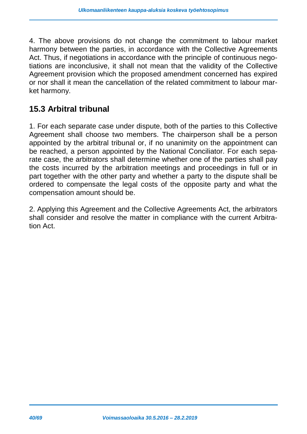4. The above provisions do not change the commitment to labour market harmony between the parties, in accordance with the Collective Agreements Act. Thus, if negotiations in accordance with the principle of continuous negotiations are inconclusive, it shall not mean that the validity of the Collective Agreement provision which the proposed amendment concerned has expired or nor shall it mean the cancellation of the related commitment to labour market harmony.

### <span id="page-39-0"></span>**15.3 Arbitral tribunal**

1. For each separate case under dispute, both of the parties to this Collective Agreement shall choose two members. The chairperson shall be a person appointed by the arbitral tribunal or, if no unanimity on the appointment can be reached, a person appointed by the National Conciliator. For each separate case, the arbitrators shall determine whether one of the parties shall pay the costs incurred by the arbitration meetings and proceedings in full or in part together with the other party and whether a party to the dispute shall be ordered to compensate the legal costs of the opposite party and what the compensation amount should be.

2. Applying this Agreement and the Collective Agreements Act, the arbitrators shall consider and resolve the matter in compliance with the current Arbitration Act.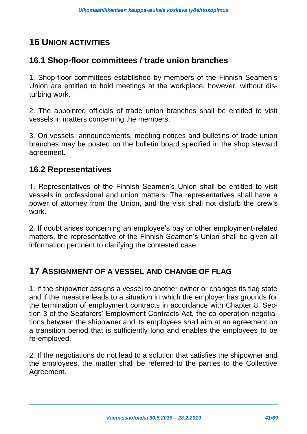# <span id="page-40-0"></span>**16 UNION ACTIVITIES**

### <span id="page-40-1"></span>**16.1 Shop-floor committees / trade union branches**

1. Shop-floor committees established by members of the Finnish Seamen's Union are entitled to hold meetings at the workplace, however, without disturbing work.

2. The appointed officials of trade union branches shall be entitled to visit vessels in matters concerning the members.

3. On vessels, announcements, meeting notices and bulletins of trade union branches may be posted on the bulletin board specified in the shop steward agreement.

### <span id="page-40-2"></span>**16.2 Representatives**

1. Representatives of the Finnish Seamen's Union shall be entitled to visit vessels in professional and union matters. The representatives shall have a power of attorney from the Union, and the visit shall not disturb the crew's work.

2. If doubt arises concerning an employee's pay or other employment-related matters, the representative of the Finnish Seamen's Union shall be given all information pertinent to clarifying the contested case.

### <span id="page-40-3"></span>**17 ASSIGNMENT OF A VESSEL AND CHANGE OF FLAG**

1. If the shipowner assigns a vessel to another owner or changes its flag state and if the measure leads to a situation in which the employer has grounds for the termination of employment contracts in accordance with Chapter 8, Section 3 of the Seafarers' Employment Contracts Act, the co-operation negotiations between the shipowner and its employees shall aim at an agreement on a transition period that is sufficiently long and enables the employees to be re-employed.

2. If the negotiations do not lead to a solution that satisfies the shipowner and the employees, the matter shall be referred to the parties to the Collective Agreement.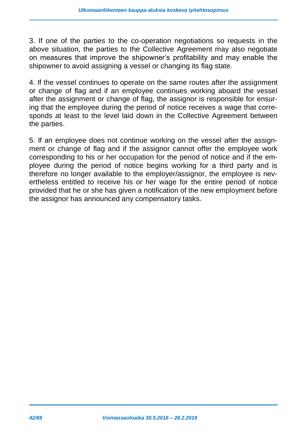3. If one of the parties to the co-operation negotiations so requests in the above situation, the parties to the Collective Agreement may also negotiate on measures that improve the shipowner's profitability and may enable the shipowner to avoid assigning a vessel or changing its flag state.

4. If the vessel continues to operate on the same routes after the assignment or change of flag and if an employee continues working aboard the vessel after the assignment or change of flag, the assignor is responsible for ensuring that the employee during the period of notice receives a wage that corresponds at least to the level laid down in the Collective Agreement between the parties.

5. If an employee does not continue working on the vessel after the assignment or change of flag and if the assignor cannot offer the employee work corresponding to his or her occupation for the period of notice and if the employee during the period of notice begins working for a third party and is therefore no longer available to the employer/assignor, the employee is nevertheless entitled to receive his or her wage for the entire period of notice provided that he or she has given a notification of the new employment before the assignor has announced any compensatory tasks.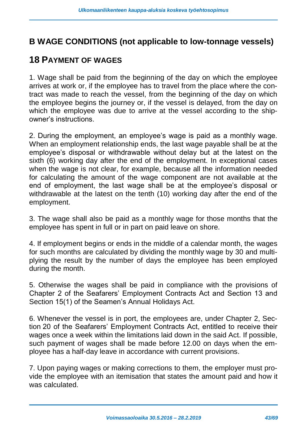### <span id="page-42-0"></span>**B WAGE CONDITIONS (not applicable to low-tonnage vessels)**

### <span id="page-42-1"></span>**18 PAYMENT OF WAGES**

1. Wage shall be paid from the beginning of the day on which the employee arrives at work or, if the employee has to travel from the place where the contract was made to reach the vessel, from the beginning of the day on which the employee begins the journey or, if the vessel is delayed, from the day on which the employee was due to arrive at the vessel according to the shipowner's instructions.

2. During the employment, an employee's wage is paid as a monthly wage. When an employment relationship ends, the last wage payable shall be at the employee's disposal or withdrawable without delay but at the latest on the sixth (6) working day after the end of the employment. In exceptional cases when the wage is not clear, for example, because all the information needed for calculating the amount of the wage component are not available at the end of employment, the last wage shall be at the employee's disposal or withdrawable at the latest on the tenth (10) working day after the end of the employment.

3. The wage shall also be paid as a monthly wage for those months that the employee has spent in full or in part on paid leave on shore.

4. If employment begins or ends in the middle of a calendar month, the wages for such months are calculated by dividing the monthly wage by 30 and multiplying the result by the number of days the employee has been employed during the month.

5. Otherwise the wages shall be paid in compliance with the provisions of Chapter 2 of the Seafarers' Employment Contracts Act and Section 13 and Section 15(1) of the Seamen's Annual Holidays Act.

6. Whenever the vessel is in port, the employees are, under Chapter 2, Section 20 of the Seafarers' Employment Contracts Act, entitled to receive their wages once a week within the limitations laid down in the said Act. If possible, such payment of wages shall be made before 12.00 on days when the employee has a half-day leave in accordance with current provisions.

7. Upon paying wages or making corrections to them, the employer must provide the employee with an itemisation that states the amount paid and how it was calculated.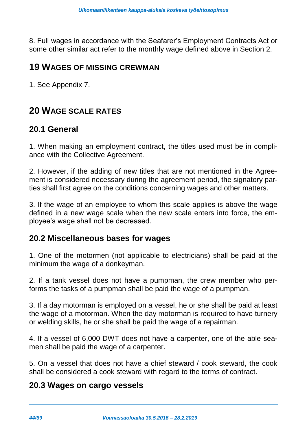8. Full wages in accordance with the Seafarer's Employment Contracts Act or some other similar act refer to the monthly wage defined above in Section 2.

#### <span id="page-43-0"></span>**19 WAGES OF MISSING CREWMAN**

1. See Appendix 7.

### <span id="page-43-1"></span>**20 WAGE SCALE RATES**

#### <span id="page-43-2"></span>**20.1 General**

1. When making an employment contract, the titles used must be in compliance with the Collective Agreement.

2. However, if the adding of new titles that are not mentioned in the Agreement is considered necessary during the agreement period, the signatory parties shall first agree on the conditions concerning wages and other matters.

3. If the wage of an employee to whom this scale applies is above the wage defined in a new wage scale when the new scale enters into force, the employee's wage shall not be decreased.

#### <span id="page-43-3"></span>**20.2 Miscellaneous bases for wages**

1. One of the motormen (not applicable to electricians) shall be paid at the minimum the wage of a donkeyman.

2. If a tank vessel does not have a pumpman, the crew member who performs the tasks of a pumpman shall be paid the wage of a pumpman.

3. If a day motorman is employed on a vessel, he or she shall be paid at least the wage of a motorman. When the day motorman is required to have turnery or welding skills, he or she shall be paid the wage of a repairman.

4. If a vessel of 6,000 DWT does not have a carpenter, one of the able seamen shall be paid the wage of a carpenter.

5. On a vessel that does not have a chief steward / cook steward, the cook shall be considered a cook steward with regard to the terms of contract.

#### <span id="page-43-4"></span>**20.3 Wages on cargo vessels**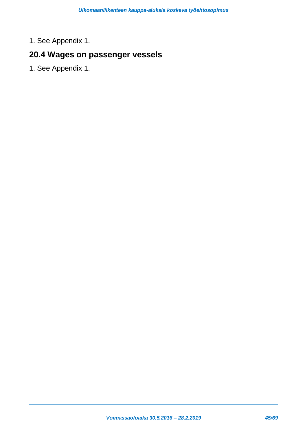1. See Appendix 1.

### <span id="page-44-0"></span>**20.4 Wages on passenger vessels**

1. See Appendix 1.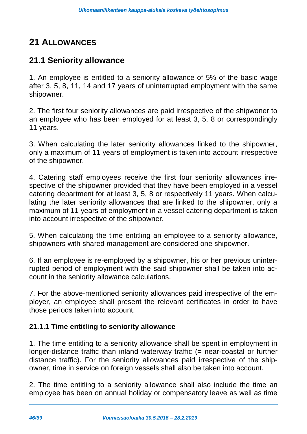# <span id="page-45-0"></span>**21 ALLOWANCES**

### <span id="page-45-1"></span>**21.1 Seniority allowance**

1. An employee is entitled to a seniority allowance of 5% of the basic wage after 3, 5, 8, 11, 14 and 17 years of uninterrupted employment with the same shipowner.

2. The first four seniority allowances are paid irrespective of the shipwoner to an employee who has been employed for at least 3, 5, 8 or correspondingly 11 years.

3. When calculating the later seniority allowances linked to the shipowner, only a maximum of 11 years of employment is taken into account irrespective of the shipowner.

4. Catering staff employees receive the first four seniority allowances irrespective of the shipowner provided that they have been employed in a vessel catering department for at least 3, 5, 8 or respectively 11 years. When calculating the later seniority allowances that are linked to the shipowner, only a maximum of 11 years of employment in a vessel catering department is taken into account irrespective of the shipowner.

5. When calculating the time entitling an employee to a seniority allowance, shipowners with shared management are considered one shipowner.

6. If an employee is re-employed by a shipowner, his or her previous uninterrupted period of employment with the said shipowner shall be taken into account in the seniority allowance calculations.

7. For the above-mentioned seniority allowances paid irrespective of the employer, an employee shall present the relevant certificates in order to have those periods taken into account.

#### **21.1.1 Time entitling to seniority allowance**

1. The time entitling to a seniority allowance shall be spent in employment in longer-distance traffic than inland waterway traffic (= near-coastal or further distance traffic). For the seniority allowances paid irrespective of the shipowner, time in service on foreign vessels shall also be taken into account.

2. The time entitling to a seniority allowance shall also include the time an employee has been on annual holiday or compensatory leave as well as time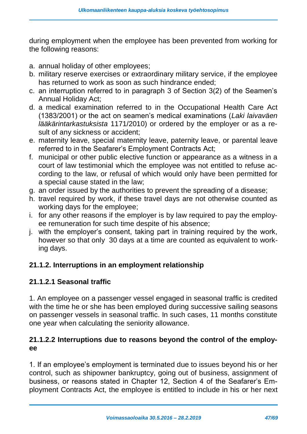during employment when the employee has been prevented from working for the following reasons:

- a. annual holiday of other employees;
- b. military reserve exercises or extraordinary military service, if the employee has returned to work as soon as such hindrance ended;
- c. an interruption referred to in paragraph 3 of Section 3(2) of the Seamen's Annual Holiday Act;
- d. a medical examination referred to in the Occupational Health Care Act (1383/2001) or the act on seamen's medical examinations (*Laki laivaväen lääkärintarkastuksista* 1171/2010) or ordered by the employer or as a result of any sickness or accident;
- e. maternity leave, special maternity leave, paternity leave, or parental leave referred to in the Seafarer's Employment Contracts Act;
- f. municipal or other public elective function or appearance as a witness in a court of law testimonial which the employee was not entitled to refuse according to the law, or refusal of which would only have been permitted for a special cause stated in the law;
- g. an order issued by the authorities to prevent the spreading of a disease;
- h. travel required by work, if these travel days are not otherwise counted as working days for the employee;
- i. for any other reasons if the employer is by law required to pay the employee remuneration for such time despite of his absence;
- j. with the employer's consent, taking part in training required by the work, however so that only 30 days at a time are counted as equivalent to working days.

#### **21.1.2. Interruptions in an employment relationship**

#### **21.1.2.1 Seasonal traffic**

1. An employee on a passenger vessel engaged in seasonal traffic is credited with the time he or she has been employed during successive sailing seasons on passenger vessels in seasonal traffic. In such cases, 11 months constitute one year when calculating the seniority allowance.

#### **21.1.2.2 Interruptions due to reasons beyond the control of the employee**

1. If an employee's employment is terminated due to issues beyond his or her control, such as shipowner bankruptcy, going out of business, assignment of business, or reasons stated in Chapter 12, Section 4 of the Seafarer's Employment Contracts Act, the employee is entitled to include in his or her next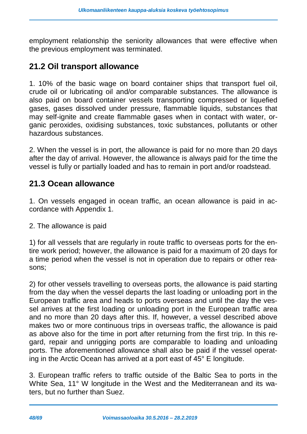employment relationship the seniority allowances that were effective when the previous employment was terminated.

### <span id="page-47-0"></span>**21.2 Oil transport allowance**

1. 10% of the basic wage on board container ships that transport fuel oil, crude oil or lubricating oil and/or comparable substances. The allowance is also paid on board container vessels transporting compressed or liquefied gases, gases dissolved under pressure, flammable liquids, substances that may self-ignite and create flammable gases when in contact with water, organic peroxides, oxidising substances, toxic substances, pollutants or other hazardous substances.

2. When the vessel is in port, the allowance is paid for no more than 20 days after the day of arrival. However, the allowance is always paid for the time the vessel is fully or partially loaded and has to remain in port and/or roadstead.

### <span id="page-47-1"></span>**21.3 Ocean allowance**

1. On vessels engaged in ocean traffic, an ocean allowance is paid in accordance with Appendix 1.

2. The allowance is paid

1) for all vessels that are regularly in route traffic to overseas ports for the entire work period; however, the allowance is paid for a maximum of 20 days for a time period when the vessel is not in operation due to repairs or other reasons;

2) for other vessels travelling to overseas ports, the allowance is paid starting from the day when the vessel departs the last loading or unloading port in the European traffic area and heads to ports overseas and until the day the vessel arrives at the first loading or unloading port in the European traffic area and no more than 20 days after this. If, however, a vessel described above makes two or more continuous trips in overseas traffic, the allowance is paid as above also for the time in port after returning from the first trip. In this regard, repair and unrigging ports are comparable to loading and unloading ports. The aforementioned allowance shall also be paid if the vessel operating in the Arctic Ocean has arrived at a port east of 45° E longitude.

3. European traffic refers to traffic outside of the Baltic Sea to ports in the White Sea, 11° W longitude in the West and the Mediterranean and its waters, but no further than Suez.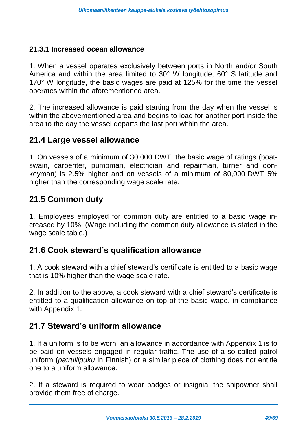#### **21.3.1 Increased ocean allowance**

1. When a vessel operates exclusively between ports in North and/or South America and within the area limited to 30° W longitude, 60° S latitude and 170° W longitude, the basic wages are paid at 125% for the time the vessel operates within the aforementioned area.

2. The increased allowance is paid starting from the day when the vessel is within the abovementioned area and begins to load for another port inside the area to the day the vessel departs the last port within the area.

#### <span id="page-48-0"></span>**21.4 Large vessel allowance**

1. On vessels of a minimum of 30,000 DWT, the basic wage of ratings (boatswain, carpenter, pumpman, electrician and repairman, turner and donkeyman) is 2.5% higher and on vessels of a minimum of 80,000 DWT 5% higher than the corresponding wage scale rate.

### <span id="page-48-1"></span>**21.5 Common duty**

1. Employees employed for common duty are entitled to a basic wage increased by 10%. (Wage including the common duty allowance is stated in the wage scale table.)

### <span id="page-48-2"></span>**21.6 Cook steward's qualification allowance**

1. A cook steward with a chief steward's certificate is entitled to a basic wage that is 10% higher than the wage scale rate.

2. In addition to the above, a cook steward with a chief steward's certificate is entitled to a qualification allowance on top of the basic wage, in compliance with Appendix 1.

### <span id="page-48-3"></span>**21.7 Steward's uniform allowance**

1. If a uniform is to be worn, an allowance in accordance with Appendix 1 is to be paid on vessels engaged in regular traffic. The use of a so-called patrol uniform (*patrullipuku* in Finnish) or a similar piece of clothing does not entitle one to a uniform allowance.

2. If a steward is required to wear badges or insignia, the shipowner shall provide them free of charge.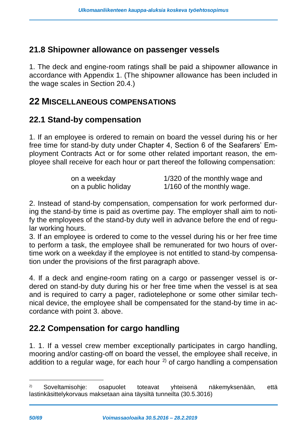### <span id="page-49-0"></span>**21.8 Shipowner allowance on passenger vessels**

1. The deck and engine-room ratings shall be paid a shipowner allowance in accordance with Appendix 1. (The shipowner allowance has been included in the wage scales in Section 20.4.)

### <span id="page-49-1"></span>**22 MISCELLANEOUS COMPENSATIONS**

### <span id="page-49-2"></span>**22.1 Stand-by compensation**

1. If an employee is ordered to remain on board the vessel during his or her free time for stand-by duty under Chapter 4, Section 6 of the Seafarers' Employment Contracts Act or for some other related important reason, the employee shall receive for each hour or part thereof the following compensation:

| on a weekday        | 1/320 of the monthly wage and |
|---------------------|-------------------------------|
| on a public holiday | 1/160 of the monthly wage.    |

2. Instead of stand-by compensation, compensation for work performed during the stand-by time is paid as overtime pay. The employer shall aim to notify the employees of the stand-by duty well in advance before the end of regular working hours.

3. If an employee is ordered to come to the vessel during his or her free time to perform a task, the employee shall be remunerated for two hours of overtime work on a weekday if the employee is not entitled to stand-by compensation under the provisions of the first paragraph above.

4. If a deck and engine-room rating on a cargo or passenger vessel is ordered on stand-by duty during his or her free time when the vessel is at sea and is required to carry a pager, radiotelephone or some other similar technical device, the employee shall be compensated for the stand-by time in accordance with point 3. above.

### <span id="page-49-3"></span>**22.2 Compensation for cargo handling**

1. 1. If a vessel crew member exceptionally participates in cargo handling, mooring and/or casting-off on board the vessel, the employee shall receive, in addition to a regular wage, for each hour  $2$  of cargo handling a compensation

-

<sup>2)</sup> Soveltamisohje: osapuolet toteavat yhteisenä näkemyksenään, että lastinkäsittelykorvaus maksetaan aina täysiltä tunneilta (30.5.3016)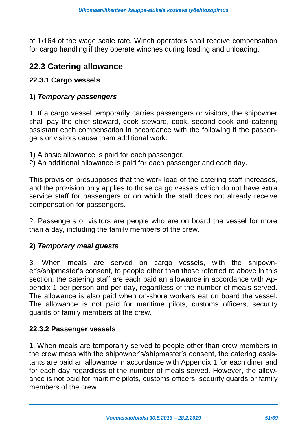of 1/164 of the wage scale rate. Winch operators shall receive compensation for cargo handling if they operate winches during loading and unloading.

### <span id="page-50-0"></span>**22.3 Catering allowance**

#### **22.3.1 Cargo vessels**

#### **1)** *Temporary passengers*

1. If a cargo vessel temporarily carries passengers or visitors, the shipowner shall pay the chief steward, cook steward, cook, second cook and catering assistant each compensation in accordance with the following if the passengers or visitors cause them additional work:

- 1) A basic allowance is paid for each passenger.
- 2) An additional allowance is paid for each passenger and each day.

This provision presupposes that the work load of the catering staff increases, and the provision only applies to those cargo vessels which do not have extra service staff for passengers or on which the staff does not already receive compensation for passengers.

2. Passengers or visitors are people who are on board the vessel for more than a day, including the family members of the crew.

#### **2)** *Temporary meal guests*

3. When meals are served on cargo vessels, with the shipowner's/shipmaster's consent, to people other than those referred to above in this section, the catering staff are each paid an allowance in accordance with Appendix 1 per person and per day, regardless of the number of meals served. The allowance is also paid when on-shore workers eat on board the vessel. The allowance is not paid for maritime pilots, customs officers, security guards or family members of the crew.

#### **22.3.2 Passenger vessels**

1. When meals are temporarily served to people other than crew members in the crew mess with the shipowner's/shipmaster's consent, the catering assistants are paid an allowance in accordance with Appendix 1 for each diner and for each day regardless of the number of meals served. However, the allowance is not paid for maritime pilots, customs officers, security guards or family members of the crew.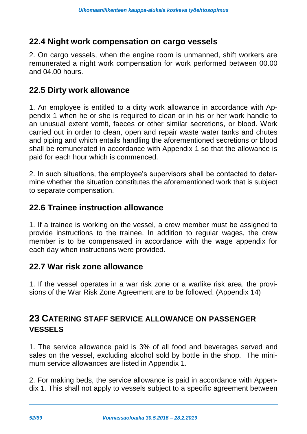### <span id="page-51-0"></span>**22.4 Night work compensation on cargo vessels**

2. On cargo vessels, when the engine room is unmanned, shift workers are remunerated a night work compensation for work performed between 00.00 and 04.00 hours.

### <span id="page-51-1"></span>**22.5 Dirty work allowance**

1. An employee is entitled to a dirty work allowance in accordance with Appendix 1 when he or she is required to clean or in his or her work handle to an unusual extent vomit, faeces or other similar secretions, or blood. Work carried out in order to clean, open and repair waste water tanks and chutes and piping and which entails handling the aforementioned secretions or blood shall be remunerated in accordance with Appendix 1 so that the allowance is paid for each hour which is commenced.

2. In such situations, the employee's supervisors shall be contacted to determine whether the situation constitutes the aforementioned work that is subject to separate compensation.

### <span id="page-51-2"></span>**22.6 Trainee instruction allowance**

1. If a trainee is working on the vessel, a crew member must be assigned to provide instructions to the trainee. In addition to regular wages, the crew member is to be compensated in accordance with the wage appendix for each day when instructions were provided.

#### <span id="page-51-3"></span>**22.7 War risk zone allowance**

1. If the vessel operates in a war risk zone or a warlike risk area, the provisions of the War Risk Zone Agreement are to be followed. (Appendix 14)

### <span id="page-51-4"></span>**23 CATERING STAFF SERVICE ALLOWANCE ON PASSENGER VESSELS**

1. The service allowance paid is 3% of all food and beverages served and sales on the vessel, excluding alcohol sold by bottle in the shop. The minimum service allowances are listed in Appendix 1.

2. For making beds, the service allowance is paid in accordance with Appendix 1. This shall not apply to vessels subject to a specific agreement between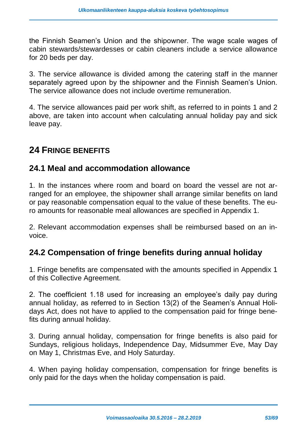the Finnish Seamen's Union and the shipowner. The wage scale wages of cabin stewards/stewardesses or cabin cleaners include a service allowance for 20 beds per day.

3. The service allowance is divided among the catering staff in the manner separately agreed upon by the shipowner and the Finnish Seamen's Union. The service allowance does not include overtime remuneration.

4. The service allowances paid per work shift, as referred to in points 1 and 2 above, are taken into account when calculating annual holiday pay and sick leave pay.

### <span id="page-52-0"></span>**24 FRINGE BENEFITS**

### <span id="page-52-1"></span>**24.1 Meal and accommodation allowance**

1. In the instances where room and board on board the vessel are not arranged for an employee, the shipowner shall arrange similar benefits on land or pay reasonable compensation equal to the value of these benefits. The euro amounts for reasonable meal allowances are specified in Appendix 1.

2. Relevant accommodation expenses shall be reimbursed based on an invoice.

### <span id="page-52-2"></span>**24.2 Compensation of fringe benefits during annual holiday**

1. Fringe benefits are compensated with the amounts specified in Appendix 1 of this Collective Agreement.

2. The coefficient 1.18 used for increasing an employee's daily pay during annual holiday, as referred to in Section 13(2) of the Seamen's Annual Holidays Act, does not have to applied to the compensation paid for fringe benefits during annual holiday.

3. During annual holiday, compensation for fringe benefits is also paid for Sundays, religious holidays, Independence Day, Midsummer Eve, May Day on May 1, Christmas Eve, and Holy Saturday.

4. When paying holiday compensation, compensation for fringe benefits is only paid for the days when the holiday compensation is paid.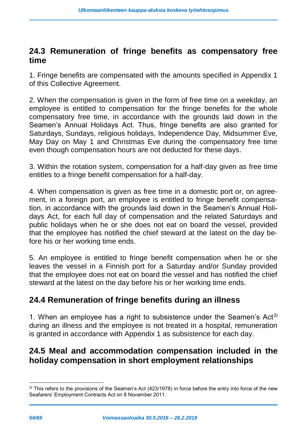### <span id="page-53-0"></span>**24.3 Remuneration of fringe benefits as compensatory free time**

1. Fringe benefits are compensated with the amounts specified in Appendix 1 of this Collective Agreement.

2. When the compensation is given in the form of free time on a weekday, an employee is entitled to compensation for the fringe benefits for the whole compensatory free time, in accordance with the grounds laid down in the Seamen's Annual Holidays Act. Thus, fringe benefits are also granted for Saturdays, Sundays, religious holidays, Independence Day, Midsummer Eve, May Day on May 1 and Christmas Eve during the compensatory free time even though compensation hours are not deducted for these days.

3. Within the rotation system, compensation for a half-day given as free time entitles to a fringe benefit compensation for a half-day.

4. When compensation is given as free time in a domestic port or, on agreement, in a foreign port, an employee is entitled to fringe benefit compensation, in accordance with the grounds laid down in the Seamen's Annual Holidays Act, for each full day of compensation and the related Saturdays and public holidays when he or she does not eat on board the vessel, provided that the employee has notified the chief steward at the latest on the day before his or her working time ends.

5. An employee is entitled to fringe benefit compensation when he or she leaves the vessel in a Finnish port for a Saturday and/or Sunday provided that the employee does not eat on board the vessel and has notified the chief steward at the latest on the day before his or her working time ends.

### <span id="page-53-1"></span>**24.4 Remuneration of fringe benefits during an illness**

1. When an employee has a right to subsistence under the Seamen's Act<sup>3)</sup> during an illness and the employee is not treated in a hospital, remuneration is granted in accordance with Appendix 1 as subsistence for each day.

### <span id="page-53-2"></span>**24.5 Meal and accommodation compensation included in the holiday compensation in short employment relationships**

-

<sup>&</sup>lt;sup>3)</sup> This refers to the provisions of the Seamen's Act (423/1978) in force before the entry into force of the new Seafarers' Employment Contracts Act on 8 November 2011.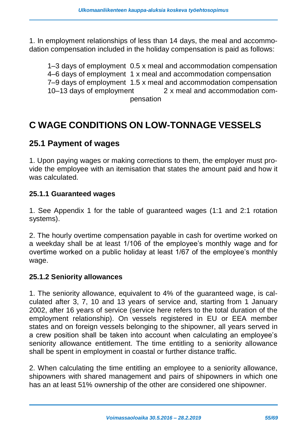1. In employment relationships of less than 14 days, the meal and accommodation compensation included in the holiday compensation is paid as follows:

1–3 days of employment 0.5 x meal and accommodation compensation 4–6 days of employment 1 x meal and accommodation compensation 7–9 days of employment 1.5 x meal and accommodation compensation 10–13 days of employment 2 x meal and accommodation compensation

# <span id="page-54-0"></span>**C WAGE CONDITIONS ON LOW-TONNAGE VESSELS**

### <span id="page-54-1"></span>**25.1 Payment of wages**

1. Upon paying wages or making corrections to them, the employer must provide the employee with an itemisation that states the amount paid and how it was calculated.

#### **25.1.1 Guaranteed wages**

1. See Appendix 1 for the table of guaranteed wages (1:1 and 2:1 rotation systems).

2. The hourly overtime compensation payable in cash for overtime worked on a weekday shall be at least 1/106 of the employee's monthly wage and for overtime worked on a public holiday at least 1/67 of the employee's monthly wage.

#### **25.1.2 Seniority allowances**

1. The seniority allowance, equivalent to 4% of the guaranteed wage, is calculated after 3, 7, 10 and 13 years of service and, starting from 1 January 2002, after 16 years of service (service here refers to the total duration of the employment relationship). On vessels registered in EU or EEA member states and on foreign vessels belonging to the shipowner, all years served in a crew position shall be taken into account when calculating an employee's seniority allowance entitlement. The time entitling to a seniority allowance shall be spent in employment in coastal or further distance traffic.

2. When calculating the time entitling an employee to a seniority allowance, shipowners with shared management and pairs of shipowners in which one has an at least 51% ownership of the other are considered one shipowner.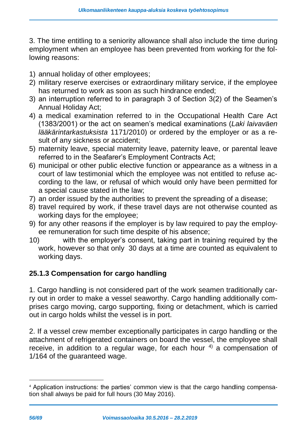3. The time entitling to a seniority allowance shall also include the time during employment when an employee has been prevented from working for the following reasons:

- 1) annual holiday of other employees;
- 2) military reserve exercises or extraordinary military service, if the employee has returned to work as soon as such hindrance ended;
- 3) an interruption referred to in paragraph 3 of Section 3(2) of the Seamen's Annual Holiday Act;
- 4) a medical examination referred to in the Occupational Health Care Act (1383/2001) or the act on seamen's medical examinations (*Laki laivaväen lääkärintarkastuksista* 1171/2010) or ordered by the employer or as a result of any sickness or accident;
- 5) maternity leave, special maternity leave, paternity leave, or parental leave referred to in the Seafarer's Employment Contracts Act;
- 6) municipal or other public elective function or appearance as a witness in a court of law testimonial which the employee was not entitled to refuse according to the law, or refusal of which would only have been permitted for a special cause stated in the law;
- 7) an order issued by the authorities to prevent the spreading of a disease;
- 8) travel required by work, if these travel days are not otherwise counted as working days for the employee;
- 9) for any other reasons if the employer is by law required to pay the employee remuneration for such time despite of his absence;
- 10) with the employer's consent, taking part in training required by the work, however so that only 30 days at a time are counted as equivalent to working days.

#### **25.1.3 Compensation for cargo handling**

1. Cargo handling is not considered part of the work seamen traditionally carry out in order to make a vessel seaworthy. Cargo handling additionally comprises cargo moving, cargo supporting, fixing or detachment, which is carried out in cargo holds whilst the vessel is in port.

2. If a vessel crew member exceptionally participates in cargo handling or the attachment of refrigerated containers on board the vessel, the employee shall receive, in addition to a regular wage, for each hour  $4$ ) a compensation of 1/164 of the guaranteed wage.

-

<sup>4</sup> Application instructions: the parties' common view is that the cargo handling compensation shall always be paid for full hours (30 May 2016).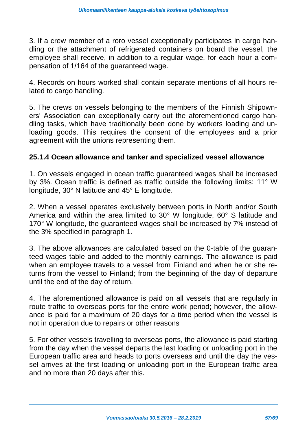3. If a crew member of a roro vessel exceptionally participates in cargo handling or the attachment of refrigerated containers on board the vessel, the employee shall receive, in addition to a regular wage, for each hour a compensation of 1/164 of the guaranteed wage.

4. Records on hours worked shall contain separate mentions of all hours related to cargo handling.

5. The crews on vessels belonging to the members of the Finnish Shipowners' Association can exceptionally carry out the aforementioned cargo handling tasks, which have traditionally been done by workers loading and unloading goods. This requires the consent of the employees and a prior agreement with the unions representing them.

#### **25.1.4 Ocean allowance and tanker and specialized vessel allowance**

1. On vessels engaged in ocean traffic guaranteed wages shall be increased by 3%. Ocean traffic is defined as traffic outside the following limits: 11° W longitude, 30° N latitude and 45° E longitude.

2. When a vessel operates exclusively between ports in North and/or South America and within the area limited to 30° W longitude, 60° S latitude and 170° W longitude, the guaranteed wages shall be increased by 7% instead of the 3% specified in paragraph 1.

3. The above allowances are calculated based on the 0-table of the guaranteed wages table and added to the monthly earnings. The allowance is paid when an employee travels to a vessel from Finland and when he or she returns from the vessel to Finland; from the beginning of the day of departure until the end of the day of return.

4. The aforementioned allowance is paid on all vessels that are regularly in route traffic to overseas ports for the entire work period; however, the allowance is paid for a maximum of 20 days for a time period when the vessel is not in operation due to repairs or other reasons

5. For other vessels travelling to overseas ports, the allowance is paid starting from the day when the vessel departs the last loading or unloading port in the European traffic area and heads to ports overseas and until the day the vessel arrives at the first loading or unloading port in the European traffic area and no more than 20 days after this.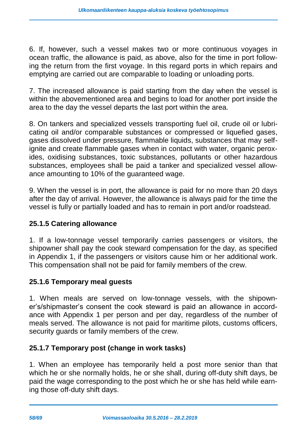6. If, however, such a vessel makes two or more continuous voyages in ocean traffic, the allowance is paid, as above, also for the time in port following the return from the first voyage. In this regard ports in which repairs and emptying are carried out are comparable to loading or unloading ports.

7. The increased allowance is paid starting from the day when the vessel is within the abovementioned area and begins to load for another port inside the area to the day the vessel departs the last port within the area.

8. On tankers and specialized vessels transporting fuel oil, crude oil or lubricating oil and/or comparable substances or compressed or liquefied gases, gases dissolved under pressure, flammable liquids, substances that may selfignite and create flammable gases when in contact with water, organic peroxides, oxidising substances, toxic substances, pollutants or other hazardous substances, employees shall be paid a tanker and specialized vessel allowance amounting to 10% of the guaranteed wage.

9. When the vessel is in port, the allowance is paid for no more than 20 days after the day of arrival. However, the allowance is always paid for the time the vessel is fully or partially loaded and has to remain in port and/or roadstead.

#### **25.1.5 Catering allowance**

1. If a low-tonnage vessel temporarily carries passengers or visitors, the shipowner shall pay the cook steward compensation for the day, as specified in Appendix 1, if the passengers or visitors cause him or her additional work. This compensation shall not be paid for family members of the crew.

#### **25.1.6 Temporary meal guests**

1. When meals are served on low-tonnage vessels, with the shipowner's/shipmaster's consent the cook steward is paid an allowance in accordance with Appendix 1 per person and per day, regardless of the number of meals served. The allowance is not paid for maritime pilots, customs officers, security guards or family members of the crew.

#### **25.1.7 Temporary post (change in work tasks)**

1. When an employee has temporarily held a post more senior than that which he or she normally holds, he or she shall, during off-duty shift days, be paid the wage corresponding to the post which he or she has held while earning those off-duty shift days.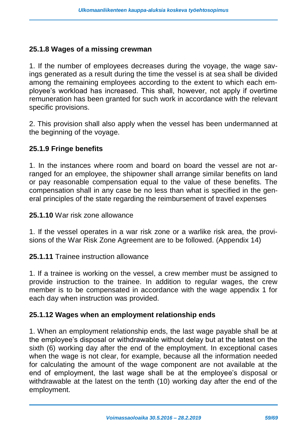#### **25.1.8 Wages of a missing crewman**

1. If the number of employees decreases during the voyage, the wage savings generated as a result during the time the vessel is at sea shall be divided among the remaining employees according to the extent to which each employee's workload has increased. This shall, however, not apply if overtime remuneration has been granted for such work in accordance with the relevant specific provisions.

2. This provision shall also apply when the vessel has been undermanned at the beginning of the voyage.

#### **25.1.9 Fringe benefits**

1. In the instances where room and board on board the vessel are not arranged for an employee, the shipowner shall arrange similar benefits on land or pay reasonable compensation equal to the value of these benefits. The compensation shall in any case be no less than what is specified in the general principles of the state regarding the reimbursement of travel expenses

#### **25.1.10** War risk zone allowance

1. If the vessel operates in a war risk zone or a warlike risk area, the provisions of the War Risk Zone Agreement are to be followed. (Appendix 14)

**25.1.11** Trainee instruction allowance

1. If a trainee is working on the vessel, a crew member must be assigned to provide instruction to the trainee. In addition to regular wages, the crew member is to be compensated in accordance with the wage appendix 1 for each day when instruction was provided.

#### **25.1.12 Wages when an employment relationship ends**

1. When an employment relationship ends, the last wage payable shall be at the employee's disposal or withdrawable without delay but at the latest on the sixth (6) working day after the end of the employment. In exceptional cases when the wage is not clear, for example, because all the information needed for calculating the amount of the wage component are not available at the end of employment, the last wage shall be at the employee's disposal or withdrawable at the latest on the tenth (10) working day after the end of the employment.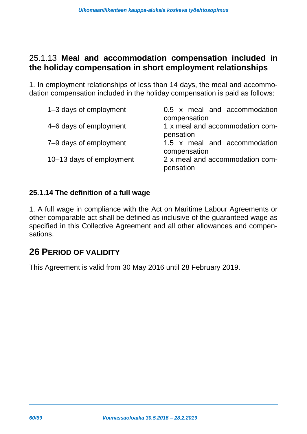### <span id="page-59-0"></span>25.1.13 **Meal and accommodation compensation included in the holiday compensation in short employment relationships**

1. In employment relationships of less than 14 days, the meal and accommodation compensation included in the holiday compensation is paid as follows:

| 1–3 days of employment   | 0.5 x meal and accommodation<br>compensation |
|--------------------------|----------------------------------------------|
| 4–6 days of employment   | 1 x meal and accommodation com-<br>pensation |
| 7-9 days of employment   | 1.5 x meal and accommodation<br>compensation |
| 10–13 days of employment | 2 x meal and accommodation com-<br>pensation |

#### **25.1.14 The definition of a full wage**

1. A full wage in compliance with the Act on Maritime Labour Agreements or other comparable act shall be defined as inclusive of the guaranteed wage as specified in this Collective Agreement and all other allowances and compensations.

### <span id="page-59-1"></span>**26 PERIOD OF VALIDITY**

This Agreement is valid from 30 May 2016 until 28 February 2019.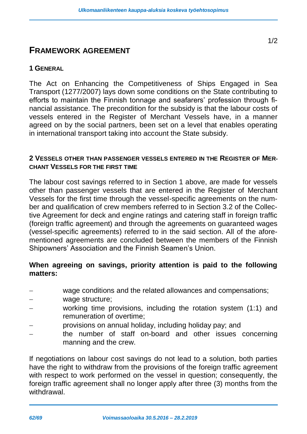#### <span id="page-61-0"></span>**FRAMEWORK AGREEMENT**

#### **1 GENERAL**

The Act on Enhancing the Competitiveness of Ships Engaged in Sea Transport (1277/2007) lays down some conditions on the State contributing to efforts to maintain the Finnish tonnage and seafarers' profession through financial assistance. The precondition for the subsidy is that the labour costs of vessels entered in the Register of Merchant Vessels have, in a manner agreed on by the social partners, been set on a level that enables operating in international transport taking into account the State subsidy.

#### **2 VESSELS OTHER THAN PASSENGER VESSELS ENTERED IN THE REGISTER OF MER-CHANT VESSELS FOR THE FIRST TIME**

The labour cost savings referred to in Section 1 above, are made for vessels other than passenger vessels that are entered in the Register of Merchant Vessels for the first time through the vessel-specific agreements on the number and qualification of crew members referred to in Section 3.2 of the Collective Agreement for deck and engine ratings and catering staff in foreign traffic (foreign traffic agreement) and through the agreements on guaranteed wages (vessel-specific agreements) referred to in the said section. All of the aforementioned agreements are concluded between the members of the Finnish Shipowners' Association and the Finnish Seamen's Union.

#### **When agreeing on savings, priority attention is paid to the following matters:**

- wage conditions and the related allowances and compensations;
- wage structure;
- working time provisions, including the rotation system (1:1) and remuneration of overtime;
- provisions on annual holiday, including holiday pay; and
- the number of staff on-board and other issues concerning manning and the crew.

If negotiations on labour cost savings do not lead to a solution, both parties have the right to withdraw from the provisions of the foreign traffic agreement with respect to work performed on the vessel in question; consequently, the foreign traffic agreement shall no longer apply after three (3) months from the withdrawal.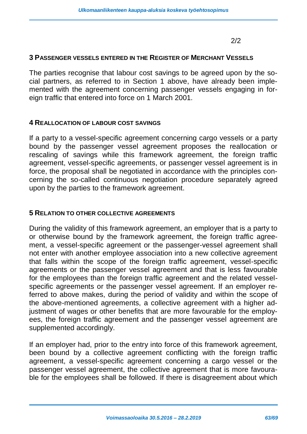2/2

#### **3 PASSENGER VESSELS ENTERED IN THE REGISTER OF MERCHANT VESSELS**

The parties recognise that labour cost savings to be agreed upon by the social partners, as referred to in Section 1 above, have already been implemented with the agreement concerning passenger vessels engaging in foreign traffic that entered into force on 1 March 2001.

#### **4 REALLOCATION OF LABOUR COST SAVINGS**

If a party to a vessel-specific agreement concerning cargo vessels or a party bound by the passenger vessel agreement proposes the reallocation or rescaling of savings while this framework agreement, the foreign traffic agreement, vessel-specific agreements, or passenger vessel agreement is in force, the proposal shall be negotiated in accordance with the principles concerning the so-called continuous negotiation procedure separately agreed upon by the parties to the framework agreement.

#### **5 RELATION TO OTHER COLLECTIVE AGREEMENTS**

During the validity of this framework agreement, an employer that is a party to or otherwise bound by the framework agreement, the foreign traffic agreement, a vessel-specific agreement or the passenger-vessel agreement shall not enter with another employee association into a new collective agreement that falls within the scope of the foreign traffic agreement, vessel-specific agreements or the passenger vessel agreement and that is less favourable for the employees than the foreign traffic agreement and the related vesselspecific agreements or the passenger vessel agreement. If an employer referred to above makes, during the period of validity and within the scope of the above-mentioned agreements, a collective agreement with a higher adjustment of wages or other benefits that are more favourable for the employees, the foreign traffic agreement and the passenger vessel agreement are supplemented accordingly.

If an employer had, prior to the entry into force of this framework agreement, been bound by a collective agreement conflicting with the foreign traffic agreement, a vessel-specific agreement concerning a cargo vessel or the passenger vessel agreement, the collective agreement that is more favourable for the employees shall be followed. If there is disagreement about which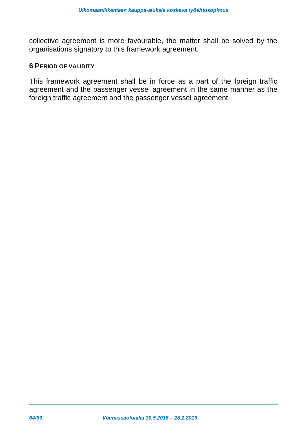collective agreement is more favourable, the matter shall be solved by the organisations signatory to this framework agreement.

#### **6 PERIOD OF VALIDITY**

This framework agreement shall be in force as a part of the foreign traffic agreement and the passenger vessel agreement in the same manner as the foreign traffic agreement and the passenger vessel agreement.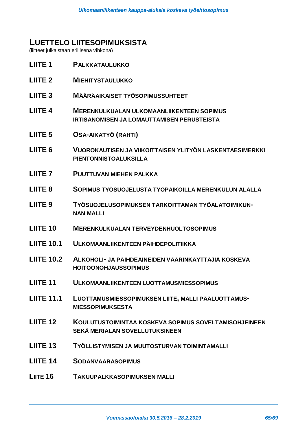#### <span id="page-64-0"></span>**LUETTELO LIITESOPIMUKSISTA**

(liitteet julkaistaan erillisenä vihkona)

| LIITE <sub>1</sub> | <b>PALKKATAULUKKO</b>                                                                                 |
|--------------------|-------------------------------------------------------------------------------------------------------|
| <b>LIITE 2</b>     | <b>MIEHITYSTAULUKKO</b>                                                                               |
| LIITE <sub>3</sub> | <b>MÄÄRÄAIKAISET TYÖSOPIMUSSUHTEET</b>                                                                |
| <b>LIITE 4</b>     | <b>MERENKULKUALAN ULKOMAANLIIKENTEEN SOPIMUS</b><br><b>IRTISANOMISEN JA LOMAUTTAMISEN PERUSTEISTA</b> |
| LIITE <sub>5</sub> | <b>OSA-AIKATYÖ (RAHTI)</b>                                                                            |
| LIITE <sub>6</sub> | VUOROKAUTISEN JA VIIKOITTAISEN YLITYÖN LASKENTAESIMERKKI<br><b>PIENTONNISTOALUKSILLA</b>              |
| LIITE <sub>7</sub> | <b>PUUTTUVAN MIEHEN PALKKA</b>                                                                        |
| LIITE <sub>8</sub> | SOPIMUS TYÖSUOJELUSTA TYÖPAIKOILLA MERENKULUN ALALLA                                                  |
| LIITE <sub>9</sub> | TYÖSUOJELUSOPIMUKSEN TARKOITTAMAN TYÖALATOIMIKUN-<br><b>NAN MALLI</b>                                 |
| <b>LIITE 10</b>    | <b>MERENKULKUALAN TERVEYDENHUOLTOSOPIMUS</b>                                                          |
|                    |                                                                                                       |
| <b>LIITE 10.1</b>  | ULKOMAANLIIKENTEEN PÄIHDEPOLITIIKKA                                                                   |
| <b>LIITE 10.2</b>  | ALKOHOLI- JA PÄIHDEAINEIDEN VÄÄRINKÄYTTÄJIÄ KOSKEVA<br><b>HOITOONOHJAUSSOPIMUS</b>                    |
| <b>LIITE 11</b>    | <b>ULKOMAANLIIKENTEEN LUOTTAMUSMIESSOPIMUS</b>                                                        |
| <b>LIITE 11.1</b>  | LUOTTAMUSMIESSOPIMUKSEN LIITE, MALLI PÄÄLUOTTAMUS-<br><b>MIESSOPIMUKSESTA</b>                         |
| <b>LIITE 12</b>    | KOULUTUSTOIMINTAA KOSKEVA SOPIMUS SOVELTAMISOHJEINEEN<br>SEKÄ MERIALAN SOVELLUTUKSINEEN               |
| <b>LIITE 13</b>    | TYÖLLISTYMISEN JA MUUTOSTURVAN TOIMINTAMALLI                                                          |
| <b>LIITE 14</b>    | <b>SODANVAARASOPIMUS</b>                                                                              |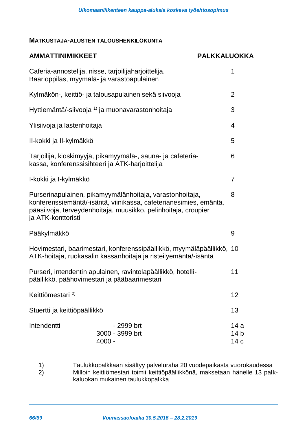#### <span id="page-65-0"></span>**MATKUSTAJA-ALUSTEN TALOUSHENKILÖKUNTA**

| <b>AMMATTINIMIKKEET</b>                                                                                                                                                                                               | <b>PALKKALUOKKA</b>                       |  |
|-----------------------------------------------------------------------------------------------------------------------------------------------------------------------------------------------------------------------|-------------------------------------------|--|
| Caferia-annostelija, nisse, tarjoilijaharjoittelija,<br>Baarioppilas, myymälä- ja varastoapulainen                                                                                                                    | 1                                         |  |
| Kylmäkön-, keittiö- ja talousapulainen sekä siivooja                                                                                                                                                                  | $\overline{2}$                            |  |
| Hyttiemäntä/-siivooja <sup>1)</sup> ja muonavarastonhoitaja                                                                                                                                                           | 3                                         |  |
| Ylisiivoja ja lastenhoitaja                                                                                                                                                                                           | 4                                         |  |
| II-kokki ja II-kylmäkkö                                                                                                                                                                                               | 5                                         |  |
| Tarjoilija, kioskimyyjä, pikamyymälä-, sauna- ja cafeteria-<br>kassa, konferenssisihteeri ja ATK-harjoittelija                                                                                                        |                                           |  |
| I-kokki ja I-kylmäkkö                                                                                                                                                                                                 |                                           |  |
| Purserinapulainen, pikamyymälänhoitaja, varastonhoitaja,<br>konferenssiemäntä/-isäntä, viinikassa, cafeterianesimies, emäntä,<br>pääsiivoja, terveydenhoitaja, muusikko, pelinhoitaja, croupier<br>ja ATK-konttoristi |                                           |  |
| Pääkylmäkkö                                                                                                                                                                                                           | 9                                         |  |
| Hovimestari, baarimestari, konferenssipäällikkö, myymäläpäällikkö, 10<br>ATK-hoitaja, ruokasalin kassanhoitaja ja risteilyemäntä/-isäntä                                                                              |                                           |  |
| Purseri, intendentin apulainen, ravintolapäällikkö, hotelli-<br>päällikkö, päähovimestari ja pääbaarimestari                                                                                                          |                                           |  |
| Keittiömestari <sup>2)</sup>                                                                                                                                                                                          | 12                                        |  |
| Stuertti ja keittiöpäällikkö                                                                                                                                                                                          | 13                                        |  |
| Intendentti<br>- 2999 brt<br>3000 - 3999 brt<br>$4000 -$                                                                                                                                                              | 14a<br>14 <sub>b</sub><br>14 <sub>c</sub> |  |

1) Taulukkopalkkaan sisältyy palveluraha 20 vuodepaikasta vuorokaudessa 2) Milloin keittiömestari toimii keittiöpäällikkönä, maksetaan hänelle 13 palkkaluokan mukainen taulukkopalkka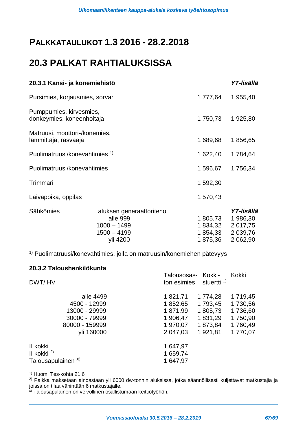# <span id="page-66-0"></span>**PALKKATAULUKOT 1.3 2016 - 28.2.2018**

# <span id="page-66-1"></span>**20.3 PALKAT RAHTIALUKSISSA**

| 20.3.1 Kansi- ja konemiehistö                                          |                                |                                                                      |
|------------------------------------------------------------------------|--------------------------------|----------------------------------------------------------------------|
| Pursimies, korjausmies, sorvari                                        |                                |                                                                      |
| Pumppumies, kirvesmies,<br>donkeymies, koneenhoitaja                   |                                |                                                                      |
| Matruusi, moottori-/konemies,<br>lämmittäjä, rasvaaja                  |                                |                                                                      |
| Puolimatruusi/konevahtimies <sup>1)</sup>                              |                                |                                                                      |
| Puolimatruusi/konevahtimies                                            |                                |                                                                      |
|                                                                        | 1 592,30                       |                                                                      |
|                                                                        | 1 570,43                       |                                                                      |
| aluksen generaattoriteho<br>alle 999<br>$1000 - 1499$<br>$1500 - 4199$ | 1805,73<br>1 834,32<br>1854,33 | YT-Iisällä<br>1986,30<br>2 0 1 7 , 7 5<br>2 0 39, 76<br>2 062,90     |
|                                                                        | yli 4200                       | 1 777,64<br>1 750,73<br>1 689,68<br>1 622,40<br>1 596,67<br>1 875,36 |

1) Puolimatruusi/konevahtimies, jolla on matruusin/konemiehen pätevyys

#### **20.3.2 Taloushenkilökunta**

| DWT/IHV            | Talousosas- Kokki-<br>stuertti <sup>1)</sup><br>ton esimies | Kokki    |
|--------------------|-------------------------------------------------------------|----------|
| alle 4499          | 1 821,71<br>1 774,28                                        | 1 719,45 |
| 4500 - 12999       | 1 793,45<br>1 852,65                                        | 1730,56  |
| 13000 - 29999      | 1 805,73<br>1 871,99                                        | 1736,60  |
| 30000 - 79999      | 1 831,29<br>1 906,47                                        | 1750,90  |
| 80000 - 159999     | 1 970,07<br>1873,84                                         | 1760,49  |
| yli 160000         | 2 047,03<br>1921,81                                         | 1770,07  |
| II kokki           | 1 647,97                                                    |          |
| II kokki $^{2)}$   | 1 659,74                                                    |          |
| Talousapulainen X) | 1 647,97                                                    |          |
|                    |                                                             |          |

1) Huom! Tes-kohta 21.6

2) Palkka maksetaan ainoastaan yli 6000 dw-tonnin aluksissa, jotka säännöllisesti kuljettavat matkustajia ja joissa on tilaa vähintään 6 matkustajalle.

x) Talousapulainen on velvollinen osallistumaan keittiötyöhön.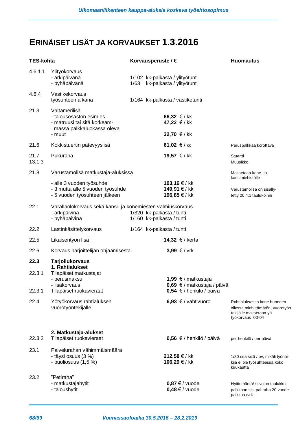# <span id="page-67-0"></span>**ERINÄISET LISÄT JA KORVAUKSET 1.3.2016**

| <b>TES-kohta</b> |                                                                                                                  | Korvausperuste / € |                                                                   | <b>Huomautus</b>                                                                                               |
|------------------|------------------------------------------------------------------------------------------------------------------|--------------------|-------------------------------------------------------------------|----------------------------------------------------------------------------------------------------------------|
| 4.6.1.1          | Ylityökorvaus<br>- arkipäivänä<br>- pyhäpäivänä                                                                  |                    | 1/102 kk-palkasta / ylityötunti<br>1/63 kk-palkasta / ylityötunti |                                                                                                                |
| 4.6.4            | Vastikekorvaus<br>työsuhteen aikana                                                                              |                    | 1/164 kk-palkasta / vastiketunti                                  |                                                                                                                |
| 21.3             | Valtamerilisä<br>- talousosaston esimies<br>- matruusi tai sitä korkeam-<br>massa palkkaluokassa oleva<br>- muut |                    | 66,32 € / kk<br>47,22 €/kk<br>32,70 €/kk                          |                                                                                                                |
| 21.6             | Kokkistuertin pätevyyslisä                                                                                       |                    | 61,02 €/kk                                                        | Peruspalkkaa korottava                                                                                         |
| 21.7<br>13.1.3   | Pukuraha                                                                                                         |                    | 19,57 €/kk                                                        | Stuertti<br>Muusikko                                                                                           |
| 21.8             | Varustamolisä matkustaja-aluksissa                                                                               |                    |                                                                   | Maksetaan kone- ja                                                                                             |
|                  | - alle 3 vuoden työsuhde<br>- 3 mutta alle 5 vuoden työsuhde<br>- 5 vuoden työsuhteen jälkeen                    |                    | 103,16 € / kk<br>149,91 € / kk<br>196,85 € / kk                   | kansimiehistölle<br>Varustamolisä on sisälly-<br>tetty 20.4.1 taulukoihin                                      |
| 22.1             | Varallaolokorvaus sekä kansi- ja konemiesten valmiuskorvaus<br>- arkipäivinä<br>- pyhäpäivinä                    |                    | 1/320 kk-palkasta / tunti<br>1/160 kk-palkasta / tunti            |                                                                                                                |
| 22.2             | Lastinkäsittelykorvaus                                                                                           |                    | 1/164 kk-palkasta / tunti                                         |                                                                                                                |
| 22.5             | Likaisentyön lisä                                                                                                |                    | 14,32 € / kerta                                                   |                                                                                                                |
| 22.6             | Korvaus harjoittelijan ohjaamisesta                                                                              |                    | 3,99 €/ vrk                                                       |                                                                                                                |
| 22.3<br>22.3.1   | <b>Tarjoilukorvaus</b><br>1. Rahtialukset<br>Tilapäiset matkustajat<br>- perusmaksu<br>- lisäkorvaus             |                    | 1,99 € / matkustaja                                               |                                                                                                                |
| 22.3.1           | Tilapäiset ruokavieraat                                                                                          |                    | 0,69 € / matkustaja / päivä<br>0,54 € / henkilö / päivä           |                                                                                                                |
| 22.4             | Yötyökorvaus rahtialuksen<br>vuorotyöntekijälle                                                                  |                    | 6,93 € / vahtivuoro                                               | Rahtialuksessa kone huoneen<br>ollessa miehittämätön, vuorotyön<br>tekijälle maksetaan yö-<br>työkorvaus 00-04 |
| 22.3.2           | 2. Matkustaja-alukset<br>Tilapäiset ruokavieraat                                                                 |                    | 0,56 € / henkilö / päivä                                          | per henkilö / per päivä                                                                                        |
| 23.1             | Palvelurahan vähimmäismäärä<br>- täysi osuus (3 %)<br>- puoliosuus (1,5 %)                                       |                    | 212,58 € / kk<br>106,29 € / kk                                    | 1/30 osa siitä / pv, mikäli työnte-<br>kijä ei ole työsuhteessa koko<br>kuukautta                              |
| 23.2             | "Petiraha"<br>- matkustajahytit<br>- taloushytit                                                                 |                    | $0.87 \in$ / vuode<br>$0,48 \in$ / vuode                          | Hyttiemäntä/-siivojan taulukko-<br>palkkaan sis. pal.raha 20 vuode-<br>paikkaa /vrk                            |